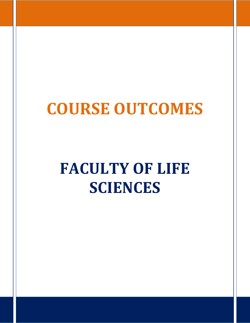## **COURSE OUTCOMES**

## **FACULTY OF LIFE SCIENCES**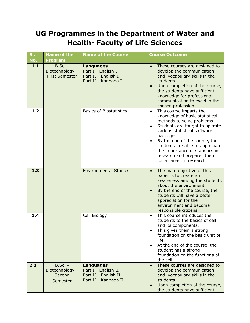## **UG Programmes in the Department of Water and Health- Faculty of Life Sciences**

| SI.<br>No. | <b>Name of the</b>                                                      | <b>Name of the Course</b>                                                               | <b>Course Outcome</b>                                                                                                                                                                                                                                                                                                                                           |
|------------|-------------------------------------------------------------------------|-----------------------------------------------------------------------------------------|-----------------------------------------------------------------------------------------------------------------------------------------------------------------------------------------------------------------------------------------------------------------------------------------------------------------------------------------------------------------|
| $1.1$      | <b>Program</b><br>$B.Sc. -$<br>Biotechnology -<br><b>First Semester</b> | <b>Languages</b><br>Part I - English I<br>Part II - English I<br>Part II - Kannada I    | These courses are designed to<br>$\bullet$<br>develop the communication<br>and vocabulary skills in the<br>students<br>Upon completion of the course,<br>the students have sufficient<br>knowledge for professional<br>communication to excel in the<br>chosen profession                                                                                       |
| 1.2        |                                                                         | <b>Basics of Biostatistics</b>                                                          | This course imparts the<br>$\bullet$<br>knowledge of basic statistical<br>methods to solve problems<br>Students are taught to operate<br>$\bullet$<br>various statistical software<br>packages<br>By the end of the course, the<br>students are able to appreciate<br>the importance of statistics in<br>research and prepares them<br>for a career in research |
| 1.3        |                                                                         | <b>Environmental Studies</b>                                                            | The main objective of this<br>$\bullet$<br>paper is to create an<br>awareness among the students<br>about the environment<br>By the end of the course, the<br>students will have a better<br>appreciation for the<br>environment and become<br>responsible citizens                                                                                             |
| 1.4        |                                                                         | Cell Biology                                                                            | This course introduces the<br>$\bullet$<br>students to the basics of cell<br>and its components.<br>This gives them a strong<br>foundation on the basic unit of<br>life.<br>At the end of the course, the<br>$\bullet$<br>student has a strong<br>foundation on the functions of<br>the cell.                                                                   |
| 2.1        | $B.Sc. -$<br>Biotechnology -<br>Second<br>Semester                      | <b>Languages</b><br>Part I - English II<br>Part II - English II<br>Part II - Kannada II | These courses are designed to<br>$\bullet$<br>develop the communication<br>and vocabulary skills in the<br>students<br>Upon completion of the course,<br>the students have sufficient                                                                                                                                                                           |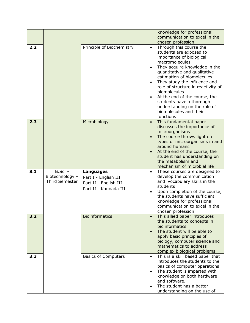|     |                                                |                                                                                     | knowledge for professional<br>communication to excel in the<br>chosen profession                                                                                                                                                                                                                                                                                                                                                       |
|-----|------------------------------------------------|-------------------------------------------------------------------------------------|----------------------------------------------------------------------------------------------------------------------------------------------------------------------------------------------------------------------------------------------------------------------------------------------------------------------------------------------------------------------------------------------------------------------------------------|
| 2.2 |                                                | Principle of Biochemistry                                                           | Through this course the<br>$\bullet$<br>students are exposed to<br>importance of biological<br>macromolecules<br>They acquire knowledge in the<br>quantitative and qualitative<br>estimation of biomolecules<br>They study the influence and<br>role of structure in reactivity of<br>biomolecules<br>At the end of the course, the<br>students have a thorough<br>understanding on the role of<br>biomolecules and their<br>functions |
| 2.3 |                                                | Microbiology                                                                        | This fundamental paper<br>$\bullet$<br>discusses the importance of<br>microorganisms<br>The course throws light on<br>types of microorganisms in and<br>around humans<br>At the end of the course, the<br>student has understanding on<br>the metabolism and<br>mechanism of microbial life                                                                                                                                            |
| 3.1 | $B.Sc. -$<br>Biotechnology -<br>Third Semester | Languages<br>Part I - English III<br>Part II - English III<br>Part II - Kannada III | These courses are designed to<br>$\bullet$<br>develop the communication<br>and vocabulary skills in the<br>students<br>Upon completion of the course,<br>the students have sufficient<br>knowledge for professional<br>communication to excel in the<br>chosen profession                                                                                                                                                              |
| 3.2 |                                                | <b>Bioinformatics</b>                                                               | This allied paper introduces<br>the students to concepts in<br>bioinformatics<br>The student will be able to<br>apply basic principles of<br>biology, computer science and<br>mathematics to address<br>complex biological problems                                                                                                                                                                                                    |
| 3.3 |                                                | <b>Basics of Computers</b>                                                          | This is a skill based paper that<br>$\bullet$<br>introduces the students to the<br>basics of computer operations<br>The student is imparted with<br>knowledge on both hardware<br>and software.<br>The student has a better<br>understanding on the use of                                                                                                                                                                             |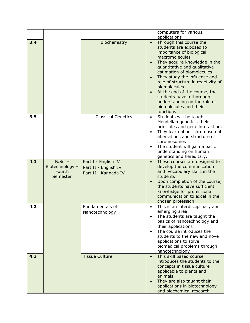|     |                                                         |                                                                     | computers for various<br>applications                                                                                                                                                                                                                                                                                                                                                                                                  |
|-----|---------------------------------------------------------|---------------------------------------------------------------------|----------------------------------------------------------------------------------------------------------------------------------------------------------------------------------------------------------------------------------------------------------------------------------------------------------------------------------------------------------------------------------------------------------------------------------------|
| 3.4 |                                                         | Biochemistry                                                        | Through this course the<br>$\bullet$<br>students are exposed to<br>importance of biological<br>macromolecules<br>They acquire knowledge in the<br>quantitative and qualitative<br>estimation of biomolecules<br>They study the influence and<br>role of structure in reactivity of<br>biomolecules<br>At the end of the course, the<br>students have a thorough<br>understanding on the role of<br>biomolecules and their<br>functions |
| 3.5 |                                                         | <b>Classical Genetics</b>                                           | Students will be taught<br>$\bullet$<br>Mendelian genetics, their<br>principles and gene interaction.<br>They learn about chromosomal<br>aberrations and structure of<br>chromosomes<br>The student will gain a basic<br>understanding on human<br>genetics and hereditary.                                                                                                                                                            |
| 4.1 | <b>B.Sc. -</b><br>Biotechnology -<br>Fourth<br>Semester | Part I - English IV<br>Part II - English IV<br>Part II - Kannada IV | These courses are designed to<br>$\bullet$<br>develop the communication<br>and vocabulary skills in the<br>students<br>Upon completion of the course,<br>the students have sufficient<br>knowledge for professional<br>communication to excel in the<br>chosen profession                                                                                                                                                              |
| 4.2 |                                                         | Fundamentals of<br>Nanotechnology                                   | This is an interdisciplinary and<br>emerging area<br>The students are taught the<br>basics of nanotechnology and<br>their applications<br>The course introduces the<br>$\bullet$<br>students to the new and novel<br>applications to solve<br>biomedical problems through<br>nanotechnology                                                                                                                                            |
| 4.3 |                                                         | <b>Tissue Culture</b>                                               | This skill based course<br>$\bullet$<br>introduces the students to the<br>concepts in tissue culture<br>applicable to plants and<br>animals<br>They are also taught their<br>applications in biotechnology<br>and biochemical research                                                                                                                                                                                                 |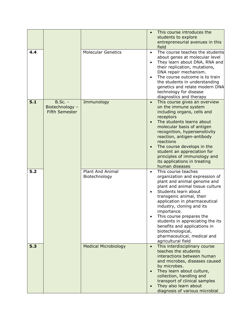|     |                                                            |                                          | This course introduces the<br>students to explore<br>entrepreneurial avenues in this<br>field                                                                                                                                                                                                                                                                                                                                                                |
|-----|------------------------------------------------------------|------------------------------------------|--------------------------------------------------------------------------------------------------------------------------------------------------------------------------------------------------------------------------------------------------------------------------------------------------------------------------------------------------------------------------------------------------------------------------------------------------------------|
| 4.4 |                                                            | <b>Molecular Genetics</b>                | The course teaches the students<br>$\bullet$<br>about genes at molecular level<br>They learn about DNA, RNA and<br>$\bullet$<br>their replication, mutations,<br>DNA repair mechanism.<br>The course outcome is to train<br>the students in understanding<br>genetics and relate modern DNA<br>technology for disease<br>diagnostics and therapy                                                                                                             |
| 5.1 | <b>B.Sc. -</b><br>Biotechnology -<br><b>Fifth Semester</b> | Immunology                               | This course gives an overview<br>on the immune system<br>including organs, cells and<br>receptors<br>The students learns about<br>molecular basis of antigen<br>recognition, hypersensitivity<br>reaction, antigen-antibody<br>reactions<br>The course develops in the<br>student an appreciation for<br>principles of immunology and<br>its applications in treating<br>human diseases                                                                      |
| 5.2 |                                                            | <b>Plant And Animal</b><br>Biotechnology | This course teaches<br>$\bullet$<br>organization and expression of<br>plant and animal genome and<br>plant and animal tissue culture<br>Students learn about<br>transgenic animal, their<br>application in pharmaceutical<br>industry, cloning and its<br>importance.<br>This course prepares the<br>$\bullet$<br>students in appreciating the its<br>benefits and applications in<br>biotechnological,<br>pharmaceutical, medical and<br>agricultural field |
| 5.3 |                                                            | <b>Medical Microbiology</b>              | This interdisciplinary course<br>$\bullet$<br>teaches the students<br>interactions between human<br>and microbes, diseases caused<br>by microbes.<br>They learn about culture,<br>collection, handling and<br>transport of clinical samples<br>They also learn about<br>diagnosis of various microbial                                                                                                                                                       |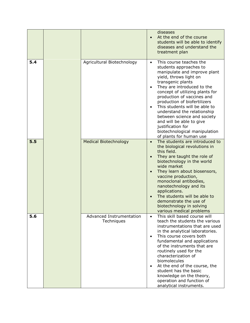|     |                            |                                                                                                                                                                                                                                                                                                                                                                                                                                                                                          | diseases<br>At the end of the course<br>$\bullet$<br>students will be able to identify<br>diseases and understand the<br>treatment plan                                                                                                                                                                                                                                                                                                                                |
|-----|----------------------------|------------------------------------------------------------------------------------------------------------------------------------------------------------------------------------------------------------------------------------------------------------------------------------------------------------------------------------------------------------------------------------------------------------------------------------------------------------------------------------------|------------------------------------------------------------------------------------------------------------------------------------------------------------------------------------------------------------------------------------------------------------------------------------------------------------------------------------------------------------------------------------------------------------------------------------------------------------------------|
| 5.4 | Agricultural Biotechnology | This course teaches the<br>$\bullet$<br>students approaches to<br>manipulate and improve plant<br>yield, throws light on<br>transgenic plants<br>They are introduced to the<br>concept of utilizing plants for<br>production of vaccines and<br>production of biofertilizers<br>This students will be able to<br>understand the relationship<br>between science and society<br>and will be able to give<br>justification for<br>biotechnological manipulation<br>of plants for human use |                                                                                                                                                                                                                                                                                                                                                                                                                                                                        |
| 5.5 |                            | <b>Medical Biotechnology</b>                                                                                                                                                                                                                                                                                                                                                                                                                                                             | The students are introduced to<br>$\bullet$<br>the biological revolutions in<br>this field.<br>They are taught the role of<br>biotechnology in the world<br>wide market<br>They learn about biosensors,<br>vaccine production,<br>monoclonal antibodies,<br>nanotechnology and its<br>applications.<br>The students will be able to<br>demonstrate the use of<br>biotechnology in solving<br>various medical problems                                                  |
| 5.6 |                            | Advanced Instrumentation<br>Techniques                                                                                                                                                                                                                                                                                                                                                                                                                                                   | This skill based course will<br>$\bullet$<br>teach the students the various<br>instrumentations that are used<br>in the analytical laboratories.<br>This course covers both<br>$\bullet$<br>fundamental and applications<br>of the instruments that are<br>routinely used for the<br>characterization of<br>biomolecules<br>At the end of the course, the<br>student has the basic<br>knowledge on the theory,<br>operation and function of<br>analytical instruments. |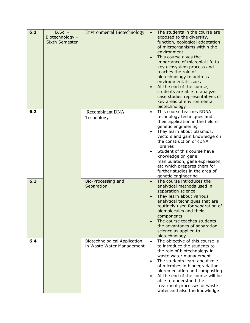| 6.1   | $B.Sc. -$<br>Biotechnology -<br><b>Sixth Semester</b> | <b>Environmental Biotechnology</b>                               | The students in the course are<br>exposed to the diversity,<br>function, ecological adaptation<br>of microorganisms within the<br>environment<br>This course gives the<br>$\bullet$<br>importance of microbial life to<br>key ecosystem process and<br>teaches the role of<br>biotechnology to address<br>environmental issues<br>At the end of the course,<br>$\bullet$<br>students are able to analyze<br>case studies representatives of<br>key areas of environmental<br>biotechnology |
|-------|-------------------------------------------------------|------------------------------------------------------------------|--------------------------------------------------------------------------------------------------------------------------------------------------------------------------------------------------------------------------------------------------------------------------------------------------------------------------------------------------------------------------------------------------------------------------------------------------------------------------------------------|
| $6.2$ |                                                       | <b>Recombinant DNA</b><br>Technology                             | This course teaches RDNA<br>$\bullet$<br>technology techniques and<br>their application in the field of<br>genetic engineering<br>They learn about plasmids,<br>vectors and gain knowledge on<br>the construction of cDNA<br>libraries<br>Student of this course have<br>knowledge on gene<br>manipulation, gene expression,<br>etc which prepares them for<br>further studies in the area of<br>genetic engineering                                                                       |
| 6.3   |                                                       | Bio-Processing and<br>Separation                                 | The course introduces the<br>$\bullet$<br>analytical methods used in<br>separation science<br>They learn about various<br>analytical techniques that are<br>routinely used for separation of<br>biomolecules and their<br>components<br>The course teaches students<br>$\bullet$<br>the advantages of separation<br>science as applied to<br>biotechnology                                                                                                                                 |
| 6.4   |                                                       | <b>Biotechnological Application</b><br>in Waste Water Management | The objective of this course is<br>$\bullet$<br>to introduce the students to<br>the role of biotechnology in<br>waste water management<br>The students learn about role<br>$\bullet$<br>of microbes in biodegradation,<br>bioremediation and composting<br>At the end of the course will be<br>able to understand the<br>treatment processes of waste<br>water and also the knowledge                                                                                                      |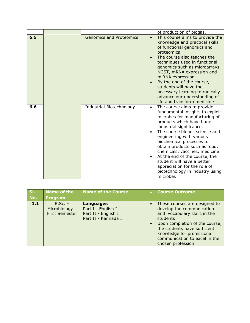|     |                                | of production of biogas.                                                                                                                                                                                                                                                                                                                                                                                                                                                     |
|-----|--------------------------------|------------------------------------------------------------------------------------------------------------------------------------------------------------------------------------------------------------------------------------------------------------------------------------------------------------------------------------------------------------------------------------------------------------------------------------------------------------------------------|
| 6.5 | <b>Genomics and Proteomics</b> | This course aims to provide the<br>$\bullet$<br>knowledge and practical skills<br>of functional genomics and<br>proteomics<br>The course also teaches the<br>techniques used in functional<br>genemics such as microarrays,<br>NGST, mRNA expression and<br>miRNA expression.<br>By the end of the course,<br>students will have the<br>necessary learning to radically<br>advance our understanding of<br>life and transform medicine                                       |
| 6.6 | Industrial Biotechnology       | The course aims to provide<br>$\bullet$<br>fundamental insights to exploit<br>microbes for manufacturing of<br>products which have huge<br>industrial significance.<br>The course blends science and<br>engineering with various<br>biochemical processes to<br>obtain products such as food,<br>chemicals, vaccines, medicine<br>At the end of the course, the<br>student will have a better<br>appreciation for the role of<br>biotechnology in industry using<br>microbes |

| SI.<br>No. | <b>Name of the</b><br><b>Program</b>                 | <b>Name of the Course</b>                                                     | <b>Course Outcome</b>                                                                                                                                                                                                                                        |
|------------|------------------------------------------------------|-------------------------------------------------------------------------------|--------------------------------------------------------------------------------------------------------------------------------------------------------------------------------------------------------------------------------------------------------------|
| 1.1        | $B.SC. -$<br>Microbiology -<br><b>First Semester</b> | Languages<br>Part I - English I<br>Part II - English I<br>Part II - Kannada I | These courses are designed to<br>develop the communication<br>and vocabulary skills in the<br>students<br>Upon completion of the course,<br>the students have sufficient<br>knowledge for professional<br>communication to excel in the<br>chosen profession |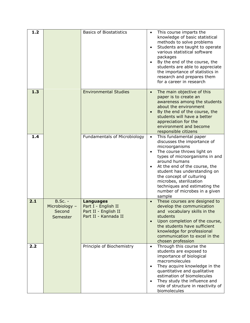| 1.2 |                                                        | <b>Basics of Biostatistics</b>                                                          | This course imparts the<br>$\bullet$<br>knowledge of basic statistical<br>methods to solve problems<br>Students are taught to operate<br>$\bullet$<br>various statistical software<br>packages<br>By the end of the course, the<br>students are able to appreciate<br>the importance of statistics in<br>research and prepares them<br>for a career in research                                     |
|-----|--------------------------------------------------------|-----------------------------------------------------------------------------------------|-----------------------------------------------------------------------------------------------------------------------------------------------------------------------------------------------------------------------------------------------------------------------------------------------------------------------------------------------------------------------------------------------------|
| 1.3 |                                                        | <b>Environmental Studies</b>                                                            | The main objective of this<br>$\bullet$<br>paper is to create an<br>awareness among the students<br>about the environment<br>By the end of the course, the<br>students will have a better<br>appreciation for the<br>environment and become<br>responsible citizens                                                                                                                                 |
| 1.4 |                                                        | Fundamentals of Microbiology                                                            | This fundamental paper<br>$\bullet$<br>discusses the importance of<br>microorganisms<br>The course throws light on<br>$\bullet$<br>types of microorganisms in and<br>around humans<br>At the end of the course, the<br>$\bullet$<br>student has understanding on<br>the concept of culturing<br>microbes, sterilization<br>techniques and estimating the<br>number of microbes in a given<br>sample |
| 2.1 | <b>B.Sc. -</b><br>Microbiology -<br>Second<br>Semester | <b>Languages</b><br>Part I - English II<br>Part II - English II<br>Part II - Kannada II | These courses are designed to<br>develop the communication<br>and vocabulary skills in the<br>students<br>Upon completion of the course,<br>the students have sufficient<br>knowledge for professional<br>communication to excel in the<br>chosen profession                                                                                                                                        |
| 2.2 |                                                        | Principle of Biochemistry                                                               | Through this course the<br>$\bullet$<br>students are exposed to<br>importance of biological<br>macromolecules<br>They acquire knowledge in the<br>$\bullet$<br>quantitative and qualitative<br>estimation of biomolecules<br>They study the influence and<br>$\bullet$<br>role of structure in reactivity of<br>biomolecules                                                                        |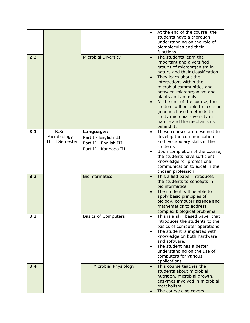|     |                                               |                                                                                     | At the end of the course, the<br>$\bullet$<br>students have a thorough<br>understanding on the role of<br>biomolecules and their<br>functions                                                                                                                                                                                                                                                                                                                 |
|-----|-----------------------------------------------|-------------------------------------------------------------------------------------|---------------------------------------------------------------------------------------------------------------------------------------------------------------------------------------------------------------------------------------------------------------------------------------------------------------------------------------------------------------------------------------------------------------------------------------------------------------|
| 2.3 |                                               | <b>Microbial Diversity</b>                                                          | The students learn the<br>$\bullet$<br>important and diversified<br>groups of microorganism in<br>nature and their classification<br>They learn about the<br>$\bullet$<br>interactions within the<br>microbial communities and<br>between microorganism and<br>plants and animals<br>At the end of the course, the<br>student will be able to describe<br>genomic based methods to<br>study microbial diversity in<br>nature and the mechanisms<br>behind it. |
| 3.1 | $B.SC. -$<br>Microbiology -<br>Third Semester | Languages<br>Part I - English III<br>Part II - English III<br>Part II - Kannada III | These courses are designed to<br>$\bullet$<br>develop the communication<br>and vocabulary skills in the<br>students<br>Upon completion of the course,<br>the students have sufficient<br>knowledge for professional<br>communication to excel in the<br>chosen profession                                                                                                                                                                                     |
| 3.2 |                                               | <b>Bioinformatics</b>                                                               | This allied paper introduces<br>$\bullet$<br>the students to concepts in<br>bioinformatics<br>The student will be able to<br>apply basic principles of<br>biology, computer science and<br>mathematics to address<br>complex biological problems                                                                                                                                                                                                              |
| 3.3 |                                               | <b>Basics of Computers</b>                                                          | This is a skill based paper that<br>$\bullet$<br>introduces the students to the<br>basics of computer operations<br>The student is imparted with<br>knowledge on both hardware<br>and software.<br>The student has a better<br>understanding on the use of<br>computers for various<br>applications                                                                                                                                                           |
| 3.4 |                                               | Microbial Physiology                                                                | This course teaches the<br>$\bullet$<br>students about microbial<br>nutrition, microbial growth,<br>enzymes involved in microbial<br>metabolism<br>The course also covers                                                                                                                                                                                                                                                                                     |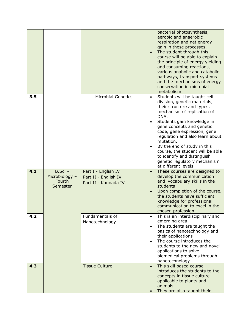|     |                                                   |                                                                     | bacterial photosynthesis,<br>aerobic and anaerobic<br>respiration and net energy<br>gain in these processes.<br>The student through this<br>course will be able to explain<br>the principle of energy yielding<br>and consuming reactions,<br>various anabolic and catabolic<br>pathways, transport systems<br>and the mechanisms of energy<br>conservation in microbial<br>metabolism                                                            |
|-----|---------------------------------------------------|---------------------------------------------------------------------|---------------------------------------------------------------------------------------------------------------------------------------------------------------------------------------------------------------------------------------------------------------------------------------------------------------------------------------------------------------------------------------------------------------------------------------------------|
| 3.5 |                                                   | <b>Microbial Genetics</b>                                           | Students will be taught cell<br>$\bullet$<br>division, genetic materials,<br>their structure and types,<br>mechanism of replication of<br>DNA.<br>Students gain knowledge in<br>gene concepts and genetic<br>code, gene expression, gene<br>regulation and also learn about<br>mutation.<br>By the end of study in this<br>course, the student will be able<br>to identify and distinguish<br>genetic regulatory mechanism<br>at different levels |
| 4.1 | $B.Sc. -$<br>Microbiology -<br>Fourth<br>Semester | Part I - English IV<br>Part II - English IV<br>Part II - Kannada IV | These courses are designed to<br>$\bullet$<br>develop the communication<br>and vocabulary skills in the<br>students<br>Upon completion of the course,<br>the students have sufficient<br>knowledge for professional<br>communication to excel in the<br>chosen profession                                                                                                                                                                         |
| 4.2 |                                                   | Fundamentals of<br>Nanotechnology                                   | This is an interdisciplinary and<br>$\bullet$<br>emerging area<br>The students are taught the<br>$\bullet$<br>basics of nanotechnology and<br>their applications<br>The course introduces the<br>$\bullet$<br>students to the new and novel<br>applications to solve<br>biomedical problems through<br>nanotechnology                                                                                                                             |
| 4.3 |                                                   | <b>Tissue Culture</b>                                               | This skill based course<br>$\bullet$<br>introduces the students to the<br>concepts in tissue culture<br>applicable to plants and<br>animals<br>They are also taught their                                                                                                                                                                                                                                                                         |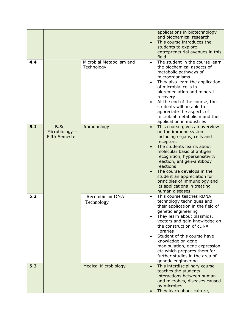|     |                                                      |                                        | applications in biotechnology<br>and biochemical research<br>This course introduces the<br>$\bullet$<br>students to explore<br>entrepreneurial avenues in this<br>field                                                                                                                                                                                                                                                           |
|-----|------------------------------------------------------|----------------------------------------|-----------------------------------------------------------------------------------------------------------------------------------------------------------------------------------------------------------------------------------------------------------------------------------------------------------------------------------------------------------------------------------------------------------------------------------|
| 4.4 |                                                      | Microbial Metabolism and<br>Technology | The student in the course learn<br>$\bullet$<br>the biochemical aspects of<br>metabolic pathways of<br>microorganisms<br>They also learn the application<br>of microbial cells in<br>bioremediation and mineral<br>recovery<br>At the end of the course, the<br>students will be able to<br>appreciate the aspects of<br>microbial metabolism and their<br>application in industries                                              |
| 5.1 | $B.SC. -$<br>Microbiology -<br><b>Fifth Semester</b> | Immunology                             | This course gives an overview<br>$\bullet$<br>on the immune system<br>including organs, cells and<br>receptors<br>The students learns about<br>molecular basis of antigen<br>recognition, hypersensitivity<br>reaction, antigen-antibody<br>reactions<br>The course develops in the<br>$\bullet$<br>student an appreciation for<br>principles of immunology and<br>its applications in treating<br>human diseases                 |
| 5.2 |                                                      | <b>Recombinant DNA</b><br>Technology   | This course teaches RDNA<br>$\bullet$<br>technology techniques and<br>their application in the field of<br>genetic engineering<br>They learn about plasmids,<br>vectors and gain knowledge on<br>the construction of cDNA<br>libraries<br>Student of this course have<br>$\bullet$<br>knowledge on gene<br>manipulation, gene expression,<br>etc which prepares them for<br>further studies in the area of<br>genetic engineering |
| 5.3 |                                                      | <b>Medical Microbiology</b>            | This interdisciplinary course<br>$\bullet$<br>teaches the students<br>interactions between human<br>and microbes, diseases caused<br>by microbes.<br>They learn about culture,                                                                                                                                                                                                                                                    |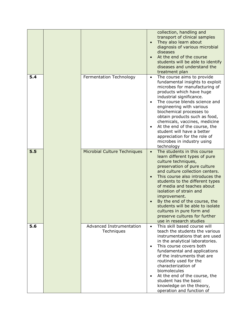|     |                                        | collection, handling and<br>transport of clinical samples<br>They also learn about<br>diagnosis of various microbial<br>diseases<br>At the end of the course<br>students will be able to identify<br>diseases and understand the<br>treatment plan                                                                                                                                                                                                                                     |
|-----|----------------------------------------|----------------------------------------------------------------------------------------------------------------------------------------------------------------------------------------------------------------------------------------------------------------------------------------------------------------------------------------------------------------------------------------------------------------------------------------------------------------------------------------|
| 5.4 | Fermentation Technology                | The course aims to provide<br>$\bullet$<br>fundamental insights to exploit<br>microbes for manufacturing of<br>products which have huge<br>industrial significance.<br>The course blends science and<br>engineering with various<br>biochemical processes to<br>obtain products such as food,<br>chemicals, vaccines, medicine<br>At the end of the course, the<br>$\bullet$<br>student will have a better<br>appreciation for the role of<br>microbes in industry using<br>technology |
| 5.5 | Microbial Culture Techniques           | The students in this course<br>$\bullet$<br>learn different types of pure<br>culture techniques,<br>preservation of pure culture<br>and culture collection centers.<br>This course also introduces the<br>students to the different types<br>of media and teaches about<br>isolation of strain and<br>improvement.<br>By the end of the course, the<br>students will be able to isolate<br>cultures in pure form and<br>preserve cultures for further<br>use in research studies       |
| 5.6 | Advanced Instrumentation<br>Techniques | This skill based course will<br>$\bullet$<br>teach the students the various<br>instrumentations that are used<br>in the analytical laboratories.<br>This course covers both<br>$\bullet$<br>fundamental and applications<br>of the instruments that are<br>routinely used for the<br>characterization of<br>biomolecules<br>At the end of the course, the<br>student has the basic<br>knowledge on the theory,<br>operation and function of                                            |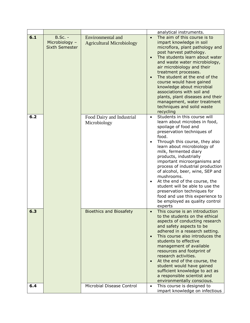|     |                                                      |                                                       | analytical instruments.                                                                                                                                                                                                                                                                                                                                                                                                                                                                                                                                               |
|-----|------------------------------------------------------|-------------------------------------------------------|-----------------------------------------------------------------------------------------------------------------------------------------------------------------------------------------------------------------------------------------------------------------------------------------------------------------------------------------------------------------------------------------------------------------------------------------------------------------------------------------------------------------------------------------------------------------------|
| 6.1 | $B.Sc. -$<br>Microbiology -<br><b>Sixth Semester</b> | Environmental and<br><b>Agricultural Microbiology</b> | The aim of this course is to<br>$\bullet$<br>impart knowledge in soil<br>microflora, plant pathology and<br>post harvest pathology.<br>The students learn about water<br>and waste water microbiology,<br>air microbiology and their<br>treatment processes.<br>The student at the end of the<br>course would have gained<br>knowledge about microbial<br>associations with soil and<br>plants, plant diseases and their<br>management, water treatment<br>techniques and solid waste<br>recycling                                                                    |
| 6.2 |                                                      | Food Dairy and Industrial<br>Microbiology             | Students in this course will<br>$\bullet$<br>learn about microbes in food,<br>spoilage of food and<br>preservation techniques of<br>food.<br>Through this course, they also<br>learn about microbiology of<br>milk, fermented diary<br>products, industrially<br>important microorganisms and<br>process of industrial production<br>of alcohol, beer, wine, SEP and<br>mushrooms.<br>At the end of the course, the<br>student will be able to use the<br>preservation techniques for<br>food and use this experience to<br>be employed as quality control<br>experts |
| 6.3 |                                                      | <b>Bioethics and Biosafety</b>                        | This course is an introduction<br>to the students on the ethical<br>aspects of conducting research<br>and safety aspects to be<br>adhered in a research setting.<br>This course also introduces the<br>students to effective<br>management of available<br>resources and footprint of<br>research activities.<br>At the end of the course, the<br>student would have gained<br>sufficient knowledge to act as<br>a responsible scientist and<br>environmentally conscious.                                                                                            |
| 6.4 |                                                      | Microbial Disease Control                             | This course is designed to<br>$\bullet$<br>impart knowledge on infectious                                                                                                                                                                                                                                                                                                                                                                                                                                                                                             |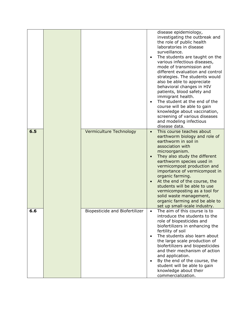|     |                                       | disease epidemiology,<br>investigating the outbreak and<br>the role of public health<br>laboratories in disease<br>surveillance.<br>The students are taught on the<br>various infectious diseases,<br>mode of transmission and<br>different evaluation and control<br>strategies. The students would<br>also be able to appreciate<br>behavioral changes in HIV<br>patients, blood safety and<br>immigrant health.<br>The student at the end of the<br>course will be able to gain<br>knowledge about vaccination,<br>screening of various diseases<br>and modeling infectious<br>disease data. |
|-----|---------------------------------------|-------------------------------------------------------------------------------------------------------------------------------------------------------------------------------------------------------------------------------------------------------------------------------------------------------------------------------------------------------------------------------------------------------------------------------------------------------------------------------------------------------------------------------------------------------------------------------------------------|
| 6.5 | Vermiculture Technology               | This course teaches about<br>$\bullet$<br>earthworm biology and role of<br>earthworm in soil in<br>association with<br>microorganism.<br>They also study the different<br>earthworm species used in<br>vermicompost production and<br>importance of vermicompost in<br>organic farming.<br>At the end of the course, the<br>students will be able to use<br>vermicomposting as a tool for<br>solid waste management,<br>organic farming and be able to<br>set up small-scale industry.                                                                                                          |
| 6.6 | <b>Biopesticide and Biofertilizer</b> | The aim of this course is to<br>introduce the students to the<br>role of biopesticides and<br>biofertilizers in enhancing the<br>fertility of soil<br>The students also learn about<br>the large scale production of<br>biofertilizers and biopesticides<br>and their mechanism of action<br>and application.<br>By the end of the course, the<br>student will be able to gain<br>knowledge about their<br>commercialization.                                                                                                                                                                   |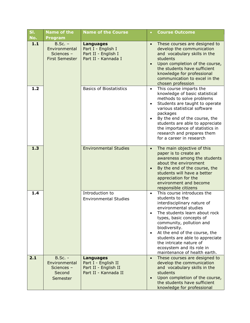| SI. | <b>Name of the</b>                                                | <b>Name of the Course</b>                                                               | <b>Course Outcome</b>                                                                                                                                                                                                                                                                                                                                                                    |
|-----|-------------------------------------------------------------------|-----------------------------------------------------------------------------------------|------------------------------------------------------------------------------------------------------------------------------------------------------------------------------------------------------------------------------------------------------------------------------------------------------------------------------------------------------------------------------------------|
| No. | <b>Program</b>                                                    |                                                                                         |                                                                                                                                                                                                                                                                                                                                                                                          |
| 1.1 | $B.Sc. -$<br>Environmental<br>Sciences -<br><b>First Semester</b> | <b>Languages</b><br>Part I - English I<br>Part II - English I<br>Part II - Kannada I    | These courses are designed to<br>$\bullet$<br>develop the communication<br>and vocabulary skills in the<br>students<br>Upon completion of the course,<br>the students have sufficient<br>knowledge for professional<br>communication to excel in the<br>chosen profession                                                                                                                |
| 1.2 |                                                                   | <b>Basics of Biostatistics</b>                                                          | This course imparts the<br>$\bullet$<br>knowledge of basic statistical<br>methods to solve problems<br>Students are taught to operate<br>$\bullet$<br>various statistical software<br>packages<br>By the end of the course, the<br>students are able to appreciate<br>the importance of statistics in<br>research and prepares them<br>for a career in research                          |
| 1.3 |                                                                   | <b>Environmental Studies</b>                                                            | The main objective of this<br>$\bullet$<br>paper is to create an<br>awareness among the students<br>about the environment<br>By the end of the course, the<br>students will have a better<br>appreciation for the<br>environment and become<br>responsible citizens                                                                                                                      |
| 1.4 |                                                                   | Introduction to<br><b>Environmental Studies</b>                                         | This course introduces the<br>students to the<br>interdisciplinary nature of<br>environmental studies<br>The students learn about rock<br>types, basic concepts of<br>community, pollution and<br>biodiversity.<br>At the end of the course, the<br>$\bullet$<br>students are able to appreciate<br>the intricate nature of<br>ecosystem and its role in<br>maintenance of health earth. |
| 2.1 | $B.SC. -$<br>Environmental<br>Sciences -<br>Second<br>Semester    | <b>Languages</b><br>Part I - English II<br>Part II - English II<br>Part II - Kannada II | These courses are designed to<br>$\bullet$<br>develop the communication<br>and vocabulary skills in the<br>students<br>Upon completion of the course,<br>$\bullet$<br>the students have sufficient<br>knowledge for professional                                                                                                                                                         |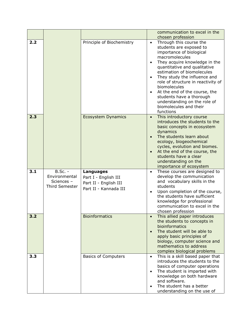|     |                                                                   |                                                                                     | communication to excel in the<br>chosen profession                                                                                                                                                                                                                                                                                                                                                                                     |
|-----|-------------------------------------------------------------------|-------------------------------------------------------------------------------------|----------------------------------------------------------------------------------------------------------------------------------------------------------------------------------------------------------------------------------------------------------------------------------------------------------------------------------------------------------------------------------------------------------------------------------------|
| 2.2 |                                                                   | Principle of Biochemistry                                                           | Through this course the<br>$\bullet$<br>students are exposed to<br>importance of biological<br>macromolecules<br>They acquire knowledge in the<br>quantitative and qualitative<br>estimation of biomolecules<br>They study the influence and<br>role of structure in reactivity of<br>biomolecules<br>At the end of the course, the<br>students have a thorough<br>understanding on the role of<br>biomolecules and their<br>functions |
| 2.3 |                                                                   | <b>Ecosystem Dynamics</b>                                                           | This introductory course<br>$\bullet$<br>introduces the students to the<br>basic concepts in ecosystem<br>dynamics<br>The students learn about<br>ecology, biogeochemical<br>cycles, evolution and biomes.<br>At the end of the course, the<br>students have a clear<br>understanding on the<br>importance of ecosystem                                                                                                                |
| 3.1 | $B.Sc. -$<br>Environmental<br>Sciences -<br><b>Third Semester</b> | Languages<br>Part I - English III<br>Part II - English III<br>Part II - Kannada III | These courses are designed to<br>$\bullet$<br>develop the communication<br>and vocabulary skills in the<br>students<br>Upon completion of the course,<br>$\bullet$<br>the students have sufficient<br>knowledge for professional<br>communication to excel in the<br>chosen profession                                                                                                                                                 |
| 3.2 |                                                                   | <b>Bioinformatics</b>                                                               | This allied paper introduces<br>$\bullet$<br>the students to concepts in<br>bioinformatics<br>The student will be able to<br>apply basic principles of<br>biology, computer science and<br>mathematics to address<br>complex biological problems                                                                                                                                                                                       |
| 3.3 |                                                                   | <b>Basics of Computers</b>                                                          | This is a skill based paper that<br>$\bullet$<br>introduces the students to the<br>basics of computer operations<br>The student is imparted with<br>knowledge on both hardware<br>and software.<br>The student has a better<br>understanding on the use of                                                                                                                                                                             |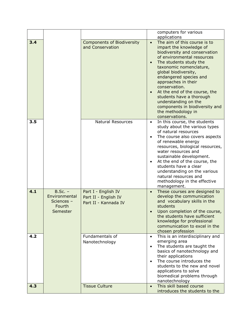|     |                                                                |                                                                     | computers for various<br>applications                                                                                                                                                                                                                                                                                                                                                                                                |
|-----|----------------------------------------------------------------|---------------------------------------------------------------------|--------------------------------------------------------------------------------------------------------------------------------------------------------------------------------------------------------------------------------------------------------------------------------------------------------------------------------------------------------------------------------------------------------------------------------------|
| 3.4 |                                                                | <b>Components of Biodiversity</b><br>and Conservation               | The aim of this course is to<br>impart the knowledge of<br>biodiversity and conservation<br>of environmental resources<br>The students study the<br>taxonomic nomenclature,<br>global biodiversity,<br>endangered species and<br>approaches in their<br>conservation.<br>At the end of the course, the<br>students have a thorough<br>understanding on the<br>components in biodiversity and<br>the methodology in<br>conservations. |
| 3.5 |                                                                | <b>Natural Resources</b>                                            | In this course, the students<br>study about the various types<br>of natural resources<br>The course also covers aspects<br>of renewable energy<br>resources, biological resources,<br>water resources and<br>sustainable development.<br>At the end of the course, the<br>students have a clear<br>understanding on the various<br>natural resources and<br>methodology in the effective<br>management.                              |
| 4.1 | $B.Sc. -$<br>Environmental<br>Sciences -<br>Fourth<br>Semester | Part I - English IV<br>Part II - English IV<br>Part II - Kannada IV | These courses are designed to<br>$\bullet$<br>develop the communication<br>and vocabulary skills in the<br>students<br>Upon completion of the course,<br>the students have sufficient<br>knowledge for professional<br>communication to excel in the<br>chosen profession                                                                                                                                                            |
| 4.2 |                                                                | Fundamentals of<br>Nanotechnology                                   | This is an interdisciplinary and<br>$\bullet$<br>emerging area<br>The students are taught the<br>$\bullet$<br>basics of nanotechnology and<br>their applications<br>The course introduces the<br>students to the new and novel<br>applications to solve<br>biomedical problems through<br>nanotechnology                                                                                                                             |
| 4.3 |                                                                | <b>Tissue Culture</b>                                               | This skill based course<br>$\bullet$<br>introduces the students to the                                                                                                                                                                                                                                                                                                                                                               |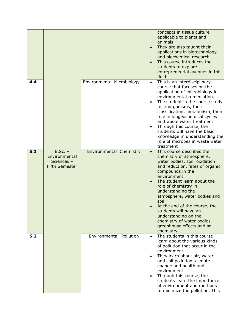|     |                                                                   |                            | concepts in tissue culture<br>applicable to plants and<br>animals<br>They are also taught their<br>applications in biotechnology<br>and biochemical research<br>This course introduces the<br>students to explore<br>entrepreneurial avenues in this<br>field                                                                                                                                                                                               |
|-----|-------------------------------------------------------------------|----------------------------|-------------------------------------------------------------------------------------------------------------------------------------------------------------------------------------------------------------------------------------------------------------------------------------------------------------------------------------------------------------------------------------------------------------------------------------------------------------|
| 4.4 |                                                                   | Environmental Microbiology | This is an interdisciplinary<br>$\bullet$<br>course that focuses on the<br>application of microbiology in<br>environmental remediation.<br>The student in the course study<br>microorganisms, their<br>classification, metabolism, their<br>role in biogeochemical cycles<br>and waste water treatment<br>Through this course, the<br>students will have the basic<br>knowledge in understanding the<br>role of microbes in waste water<br>treatment        |
| 5.1 | $B.Sc. -$<br>Environmental<br>Sciences -<br><b>Fifth Semester</b> | Environmental Chemistry    | This course describes the<br>$\bullet$<br>chemistry of atmosphere,<br>water bodies, soil, oxidation<br>and reduction, fates of organic<br>compounds in the<br>environment.<br>The student learn about the<br>role of chemistry in<br>understanding the<br>atmosphere, water bodies and<br>soil.<br>At the end of the course, the<br>students will have an<br>understanding on the<br>chemistry of water bodies,<br>greenhouse effects and soil<br>chemistry |
| 5.2 |                                                                   | Environmental Pollution    | The students in this course<br>$\bullet$<br>learn about the various kinds<br>of pollution that occur in the<br>environment.<br>They learn about air, water<br>and soil pollution, climate<br>change and health and<br>environment.<br>Through this course, the<br>$\bullet$<br>students learn the importance<br>of environment and methods<br>to minimize the pollution. This                                                                               |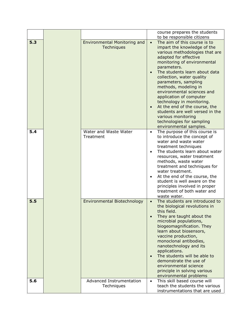|     |                                            |                        | course prepares the students<br>to be responsible citizens                                                                                                                                                                                                                                                                                                                                                                                                                                                                |
|-----|--------------------------------------------|------------------------|---------------------------------------------------------------------------------------------------------------------------------------------------------------------------------------------------------------------------------------------------------------------------------------------------------------------------------------------------------------------------------------------------------------------------------------------------------------------------------------------------------------------------|
| 5.3 | Environmental Monitoring and<br>Techniques | $\bullet$              | The aim of this course is to<br>impart the knowledge of the<br>various methodologies that are<br>adapted for effective<br>monitoring of environmental<br>parameters.<br>The students learn about data<br>collection, water quality<br>parameters, sampling<br>methods, modeling in<br>environmental sciences and<br>application of computer<br>technology in monitoring.<br>At the end of the course, the<br>students are well versed in the<br>various monitoring<br>technologies for sampling<br>environmental samples. |
| 5.4 | Water and Waste Water<br>Treatment         | $\bullet$<br>$\bullet$ | The purpose of this course is<br>to introduce the concept of<br>water and waste water<br>treatment techniques<br>The students learn about water<br>resources, water treatment<br>methods, waste water<br>treatment and techniques for<br>water treatment.<br>At the end of the course, the<br>student is well aware on the<br>principles involved in proper<br>treatment of both water and<br>waste water.                                                                                                                |
| 5.5 | Environmental Biotechnology                | $\bullet$<br>$\bullet$ | The students are introduced to<br>the biological revolutions in<br>this field.<br>They are taught about the<br>microbial populations,<br>biogeomagnification. They<br>learn about biosensors,<br>vaccine production,<br>monoclonal antibodies,<br>nanotechnology and its<br>applications.<br>The students will be able to<br>demonstrate the use of<br>environmental science<br>principle in solving various<br>environmental problems                                                                                    |
| 5.6 | Advanced Instrumentation<br>Techniques     | $\bullet$              | This skill based course will<br>teach the students the various                                                                                                                                                                                                                                                                                                                                                                                                                                                            |
|     |                                            |                        | instrumentations that are used                                                                                                                                                                                                                                                                                                                                                                                                                                                                                            |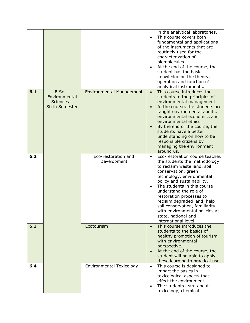|       |                                                                   |                                    | in the analytical laboratories.<br>This course covers both<br>$\bullet$<br>fundamental and applications<br>of the instruments that are<br>routinely used for the<br>characterization of<br>biomolecules<br>At the end of the course, the<br>$\bullet$<br>student has the basic<br>knowledge on the theory,<br>operation and function of<br>analytical instruments.                                                                 |
|-------|-------------------------------------------------------------------|------------------------------------|------------------------------------------------------------------------------------------------------------------------------------------------------------------------------------------------------------------------------------------------------------------------------------------------------------------------------------------------------------------------------------------------------------------------------------|
| 6.1   | $B.Sc. -$<br>Environmental<br>Sciences -<br><b>Sixth Semester</b> | <b>Environmental Management</b>    | This course introduces the<br>$\bullet$<br>students to the principles of<br>environmental management<br>In the course, the students are<br>taught environmental audits,<br>environmental economics and<br>environmental ethics.<br>By the end of the course, the<br>students have a better<br>understanding on how to be<br>responsible citizens by<br>managing the environment<br>around us.                                      |
| $6.2$ |                                                                   | Eco-restoration and<br>Development | Eco-restoration course teaches<br>the students the methodology<br>to reclaim waste land, soil<br>conservation, green<br>technology, environmental<br>policy and sustainability.<br>The students in this course<br>$\bullet$<br>understand the role of<br>restoration processes to<br>reclaim degraded land, help<br>soil conservation, familiarity<br>with environmental policies at<br>state, national and<br>international level |
| 6.3   |                                                                   | Ecotourism                         | This course introduces the<br>students to the basics of<br>healthy promotion of tourism<br>with environmental<br>perspective.<br>At the end of the course, the<br>$\bullet$<br>student will be able to apply<br>these learning to practical use.                                                                                                                                                                                   |
| 6.4   |                                                                   | <b>Environmental Toxicology</b>    | This course is designed to<br>$\bullet$<br>impart the basics in<br>toxicological aspects that<br>effect the environment.<br>The students learn about<br>toxicology, chemical                                                                                                                                                                                                                                                       |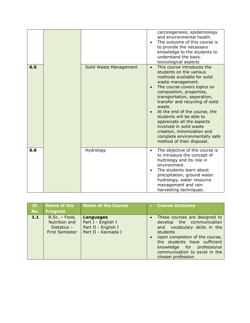|     |  |                        | carcinogenesis, epidemiology<br>and environmental health.<br>The outcome of this course is<br>to provide the necessary<br>knowledge to the students to<br>understand the basic<br>toxicological aspects                                                                                                                                                                                                                                                                         |
|-----|--|------------------------|---------------------------------------------------------------------------------------------------------------------------------------------------------------------------------------------------------------------------------------------------------------------------------------------------------------------------------------------------------------------------------------------------------------------------------------------------------------------------------|
| 6.5 |  | Solid Waste Management | This course introduces the<br>$\bullet$<br>students on the various<br>methods available for solid<br>waste management.<br>The course covers topics on<br>composition, properties,<br>transportation, separation,<br>transfer and recycling of solid<br>waste.<br>At the end of the course, the<br>students will be able to<br>appreciate all the aspects<br>involved in solid waste<br>creation, minimization and<br>complete environmentally safe<br>method of their disposal. |
| 6.6 |  | Hydrology              | The objective of the course is<br>$\bullet$<br>to introduce the concept of<br>hydrology and its role in<br>environment.<br>The students learn about<br>$\bullet$<br>precipitation, ground water<br>hydrology, water resource<br>management and rain<br>harvesting techniques.                                                                                                                                                                                                   |

| ISI. . | Name of the                                                              | <b>Name of the Course</b>                                                            | <b>• Course Outcome</b>                                                                                                                                                                                                                                      |
|--------|--------------------------------------------------------------------------|--------------------------------------------------------------------------------------|--------------------------------------------------------------------------------------------------------------------------------------------------------------------------------------------------------------------------------------------------------------|
| No.    | <b>Program</b>                                                           |                                                                                      |                                                                                                                                                                                                                                                              |
| 1.1    | $B.Sc. - Food,$<br>Nutrition and<br>Dietetics -<br><b>First Semester</b> | <b>Languages</b><br>Part I - English I<br>Part II - English I<br>Part II - Kannada I | These courses are designed to<br>develop the communication<br>and vocabulary skills in the<br>students<br>Upon completion of the course,<br>the students have sufficient<br>knowledge for professional<br>communication to excel in the<br>chosen profession |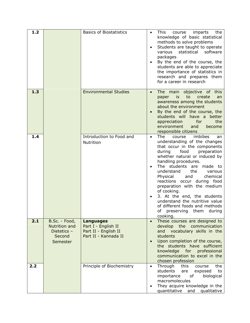| 1.2 |                                                                     | <b>Basics of Biostatistics</b>                                                          | This<br>the<br>course<br>imparts<br>$\bullet$<br>knowledge of basic statistical<br>methods to solve problems<br>Students are taught to operate<br>$\bullet$<br>statistical<br>software<br>various<br>packages<br>By the end of the course, the<br>students are able to appreciate<br>the importance of statistics in<br>research and prepares them<br>for a career in research                                                                                                                                                         |
|-----|---------------------------------------------------------------------|-----------------------------------------------------------------------------------------|----------------------------------------------------------------------------------------------------------------------------------------------------------------------------------------------------------------------------------------------------------------------------------------------------------------------------------------------------------------------------------------------------------------------------------------------------------------------------------------------------------------------------------------|
| 1.3 |                                                                     | <b>Environmental Studies</b>                                                            | The main objective of this<br>$\bullet$<br>is<br>to<br>create<br>paper<br>an<br>awareness among the students<br>about the environment<br>By the end of the course, the<br>students will have a better<br>for<br>the<br>appreciation<br>environment<br>and<br>become<br>responsible citizens                                                                                                                                                                                                                                            |
| 1.4 |                                                                     | Introduction to Food and<br>Nutrition                                                   | The<br>imbibes<br>course<br>an<br>$\bullet$<br>understanding of the changes<br>that occur in the components<br>during<br>food<br>preparation<br>whether natural or induced by<br>handling procedures.<br>The students are made to<br>understand<br>the<br>various<br>Physical<br>chemical<br>and<br>reactions occur during food<br>preparation with the medium<br>of cooking.<br>3. At the end, the students<br>$\bullet$<br>understand the nutritive value<br>of different foods and methods<br>of preserving them during<br>cooking. |
| 2.1 | B.Sc. - Food,<br>Nutrition and<br>Dietetics -<br>Second<br>Semester | <b>Languages</b><br>Part I - English II<br>Part II - English II<br>Part II - Kannada II | These courses are designed to<br>$\bullet$<br>develop the communication<br>and vocabulary skills in the<br>students<br>Upon completion of the course,<br>the students have sufficient<br>knowledge for professional<br>communication to excel in the<br>chosen profession                                                                                                                                                                                                                                                              |
| 2.2 |                                                                     | Principle of Biochemistry                                                               | Through<br>the<br>this<br>course<br>$\bullet$<br>students<br>are<br>to<br>exposed<br>importance<br>of<br>biological<br>macromolecules<br>They acquire knowledge in the<br>quantitative<br>and<br>qualitative                                                                                                                                                                                                                                                                                                                           |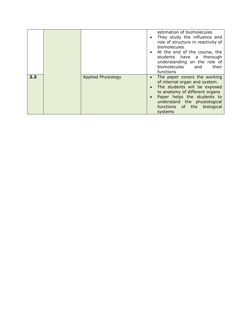|     |                           | estimation of biomolecules<br>They study the influence and<br>role of structure in reactivity of<br>biomolecules<br>At the end of the course, the<br>students have a thorough<br>understanding on the role of<br>biomolecules and<br>their<br>functions  |
|-----|---------------------------|----------------------------------------------------------------------------------------------------------------------------------------------------------------------------------------------------------------------------------------------------------|
| 2.3 | <b>Applied Physiology</b> | The paper covers the working<br>$\bullet$<br>of internal organ and system.<br>The students will be exposed<br>to anatomy of different organs<br>Paper helps the students to<br>understand the physiological<br>functions of the<br>biological<br>systems |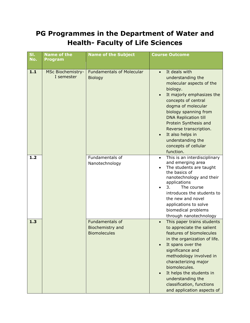## **PG Programmes in the Department of Water and Health- Faculty of Life Sciences**

| SI.<br>No. | <b>Name of the</b><br><b>Program</b>   | <b>Name of the Subject</b>                                        | <b>Course Outcome</b>                                                                                                                                                                                                                                                                                                                                      |
|------------|----------------------------------------|-------------------------------------------------------------------|------------------------------------------------------------------------------------------------------------------------------------------------------------------------------------------------------------------------------------------------------------------------------------------------------------------------------------------------------------|
| $1.1$      | <b>MSc Biochemistry-</b><br>I semester | <b>Fundamentals of Molecular</b><br><b>Biology</b>                | It deals with<br>$\bullet$<br>understanding the<br>molecular aspects of the<br>biology.<br>It majorly emphasizes the<br>concepts of central<br>dogma of molecular<br>biology spanning from<br><b>DNA Replication till</b><br>Protein Synthesis and<br>Reverse transcription.<br>It also helps in<br>understanding the<br>concepts of cellular<br>function. |
| 1.2        |                                        | Fundamentals of<br>Nanotechnology                                 | This is an interdisciplinary<br>$\bullet$<br>and emerging area<br>The students are taught<br>the basics of<br>nanotechnology and their<br>applications<br>3.<br>The course<br>introduces the students to<br>the new and novel<br>applications to solve<br>biomedical problems<br>through nanotechnology                                                    |
| 1.3        |                                        | Fundamentals of<br><b>Biochemistry and</b><br><b>Biomolecules</b> | This paper trains students<br>to appreciate the salient<br>features of biomolecules<br>in the organization of life.<br>It spans over the<br>significance and<br>methodology involved in<br>characterizing major<br>biomolecules.<br>It helps the students in<br>understanding the<br>classification, functions<br>and application aspects of               |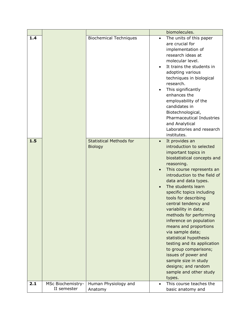|     |                                  |                                                  |                        | biomolecules.                                                                                                                                                                                                                                                                                                                                                                                                                                                                                                                                                                                                                |
|-----|----------------------------------|--------------------------------------------------|------------------------|------------------------------------------------------------------------------------------------------------------------------------------------------------------------------------------------------------------------------------------------------------------------------------------------------------------------------------------------------------------------------------------------------------------------------------------------------------------------------------------------------------------------------------------------------------------------------------------------------------------------------|
| 1.4 |                                  | <b>Biochemical Techniques</b>                    | $\bullet$<br>$\bullet$ | The units of this paper<br>are crucial for<br>implementation of<br>research ideas at<br>molecular level.<br>It trains the students in<br>adopting various<br>techniques in biological<br>research.<br>This significantly<br>enhances the<br>employability of the<br>candidates in<br>Biotechnological,<br><b>Pharmaceutical Industries</b><br>and Analytical<br>Laboratories and research<br>institutes.                                                                                                                                                                                                                     |
| 1.5 |                                  | <b>Statistical Methods for</b><br><b>Biology</b> | $\bullet$<br>$\bullet$ | It provides an<br>introduction to selected<br>important topics in<br>biostatistical concepts and<br>reasoning.<br>This course represents an<br>introduction to the field of<br>data and data types.<br>The students learn<br>specific topics including<br>tools for describing<br>central tendency and<br>variability in data;<br>methods for performing<br>inference on population<br>means and proportions<br>via sample data;<br>statistical hypothesis<br>testing and its application<br>to group comparisons;<br>issues of power and<br>sample size in study<br>designs; and random<br>sample and other study<br>types. |
| 2.1 | MSc Biochemistry-<br>II semester | Human Physiology and<br>Anatomy                  | $\bullet$              | This course teaches the<br>basic anatomy and                                                                                                                                                                                                                                                                                                                                                                                                                                                                                                                                                                                 |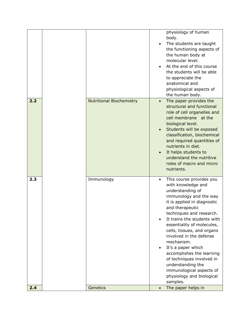|            |                                 | physiology of human<br>body.<br>The students are taught<br>the functioning aspects of<br>the human body at<br>molecular level.<br>At the end of this course<br>the students will be able<br>to appreciate the<br>anatomical and<br>physiological aspects of<br>the human body.                                                                                                                                                                                                                                                                        |
|------------|---------------------------------|-------------------------------------------------------------------------------------------------------------------------------------------------------------------------------------------------------------------------------------------------------------------------------------------------------------------------------------------------------------------------------------------------------------------------------------------------------------------------------------------------------------------------------------------------------|
| 2.2        | <b>Nutritional Biochemistry</b> | The paper provides the<br>$\bullet$<br>structural and functional<br>role of cell organelles and<br>cell membrane at the<br>biological level.<br>Students will be exposed<br>classification, biochemical<br>and required quantities of<br>nutrients in diet.<br>It helps students to<br>understand the nutritive<br>roles of macro and micro<br>nutrients.                                                                                                                                                                                             |
| 2.3<br>2.4 | Immunology<br>Genetics          | This course provides you<br>$\bullet$<br>with knowledge and<br>understanding of<br>immunology and the way<br>it is applied in diagnostic<br>and therapeutic<br>techniques and research.<br>It trains the students with<br>essentiality of molecules,<br>cells, tissues, and organs<br>involved in the defense<br>mechanism.<br>It's a paper which<br>$\bullet$<br>accomplishes the learning<br>of techniques involved in<br>understanding the<br>immunological aspects of<br>physiology and biological<br>samples.<br>The paper helps in<br>$\bullet$ |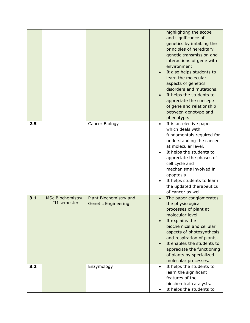|     |                                          |                                                      |                        | highlighting the scope<br>and significance of<br>genetics by imbibing the<br>principles of hereditary<br>genetic transmission and<br>interactions of gene with<br>environment.<br>It also helps students to<br>learn the molecular<br>aspects of genetics<br>disorders and mutations.<br>It helps the students to<br>appreciate the concepts<br>of gene and relationship<br>between genotype and<br>phenotype. |
|-----|------------------------------------------|------------------------------------------------------|------------------------|----------------------------------------------------------------------------------------------------------------------------------------------------------------------------------------------------------------------------------------------------------------------------------------------------------------------------------------------------------------------------------------------------------------|
| 2.5 |                                          | Cancer Biology                                       |                        | It is an elective paper<br>which deals with<br>fundamentals required for<br>understanding the cancer<br>at molecular level.<br>It helps the students to<br>appreciate the phases of<br>cell cycle and<br>mechanisms involved in<br>apoptosis.<br>It helps students to learn<br>the updated therapeutics<br>of cancer as well.                                                                                  |
| 3.1 | <b>MSc Biochemistry-</b><br>III semester | Plant Biochemistry and<br><b>Genetic Engineering</b> | $\bullet$<br>$\bullet$ | The paper conglomerates<br>the physiological<br>processes of plant at<br>molecular level.<br>It explains the<br>biochemical and cellular<br>aspects of photosynthesis<br>and respiration of plants.<br>It enables the students to<br>appreciate the functioning<br>of plants by specialized<br>molecular processes.                                                                                            |
| 3.2 |                                          | Enzymology                                           | $\bullet$              | It helps the students to<br>learn the significant<br>features of the<br>biochemical catalysts.<br>It helps the students to                                                                                                                                                                                                                                                                                     |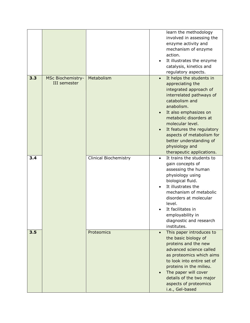|     |                                                 |                       |           | learn the methodology<br>involved in assessing the<br>enzyme activity and<br>mechanism of enzyme<br>action.<br>It illustrates the enzyme<br>catalysis, kinetics and<br>regulatory aspects.                                                                                                                                                     |
|-----|-------------------------------------------------|-----------------------|-----------|------------------------------------------------------------------------------------------------------------------------------------------------------------------------------------------------------------------------------------------------------------------------------------------------------------------------------------------------|
| 3.3 | <b>MSc Biochemistry-</b><br><b>III</b> semester | Metabolism            |           | It helps the students in<br>appreciating the<br>integrated approach of<br>interrelated pathways of<br>catabolism and<br>anabolism.<br>It also emphasizes on<br>metabolic disorders at<br>molecular level.<br>It features the regulatory<br>aspects of metabolism for<br>better understanding of<br>physiology and<br>therapeutic applications. |
| 3.4 |                                                 | Clinical Biochemistry | $\bullet$ | It trains the students to<br>gain concepts of<br>assessing the human<br>physiology using<br>biological fluid.<br>It illustrates the<br>mechanism of metabolic<br>disorders at molecular<br>level.<br>It facilitates in<br>employability in<br>diagnostic and research<br>institutes.                                                           |
| 3.5 |                                                 | Proteomics            | $\bullet$ | This paper introduces to<br>the basic biology of<br>proteins and the new<br>advanced science called<br>as proteomics which aims<br>to look into entire set of<br>proteins in the milieu.<br>The paper will cover<br>details of the two major<br>aspects of proteomics<br>i.e., Gel-based                                                       |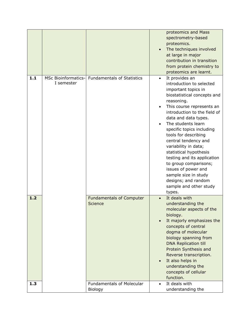|       |                                   |                                             | proteomics and Mass<br>spectrometry-based<br>proteomics.<br>The techniques involved<br>$\bullet$<br>at large in major<br>contribution in transition<br>from protein chemistry to<br>proteomics are learnt.                                                                                                                                                                                                                                                                                                                              |
|-------|-----------------------------------|---------------------------------------------|-----------------------------------------------------------------------------------------------------------------------------------------------------------------------------------------------------------------------------------------------------------------------------------------------------------------------------------------------------------------------------------------------------------------------------------------------------------------------------------------------------------------------------------------|
| $1.1$ | MSc Bioinformatics-<br>I semester | <b>Fundamentals of Statistics</b>           | It provides an<br>$\bullet$<br>introduction to selected<br>important topics in<br>biostatistical concepts and<br>reasoning.<br>This course represents an<br>introduction to the field of<br>data and data types.<br>The students learn<br>specific topics including<br>tools for describing<br>central tendency and<br>variability in data;<br>statistical hypothesis<br>testing and its application<br>to group comparisons;<br>issues of power and<br>sample size in study<br>designs; and random<br>sample and other study<br>types. |
| 1.2   |                                   | <b>Fundamentals of Computer</b><br>Science  | It deals with<br>$\bullet$<br>understanding the<br>molecular aspects of the<br>biology.<br>It majorly emphasizes the<br>$\bullet$<br>concepts of central<br>dogma of molecular<br>biology spanning from<br><b>DNA Replication till</b><br>Protein Synthesis and<br>Reverse transcription.<br>It also helps in<br>understanding the<br>concepts of cellular<br>function.                                                                                                                                                                 |
| 1.3   |                                   | <b>Fundamentals of Molecular</b><br>Biology | It deals with<br>$\bullet$<br>understanding the                                                                                                                                                                                                                                                                                                                                                                                                                                                                                         |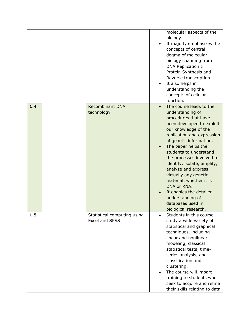|     |                                               | molecular aspects of the<br>biology.<br>It majorly emphasizes the<br>concepts of central<br>dogma of molecular<br>biology spanning from<br><b>DNA Replication till</b><br>Protein Synthesis and<br>Reverse transcription.<br>It also helps in<br>understanding the<br>concepts of cellular<br>function.                                                                                                                                                                              |
|-----|-----------------------------------------------|--------------------------------------------------------------------------------------------------------------------------------------------------------------------------------------------------------------------------------------------------------------------------------------------------------------------------------------------------------------------------------------------------------------------------------------------------------------------------------------|
| 1.4 | <b>Recombinant DNA</b><br>technology          | The course leads to the<br>understanding of<br>procedures that have<br>been developed to exploit<br>our knowledge of the<br>replication and expression<br>of genetic information.<br>The paper helps the<br>students to understand<br>the processes involved to<br>identify, isolate, amplify,<br>analyze and express<br>virtually any genetic<br>material, whether it is<br>DNA or RNA.<br>It enables the detailed<br>understanding of<br>databases used in<br>biological research. |
| 1.5 | Statistical computing using<br>Excel and SPSS | Students in this course<br>study a wide variety of<br>statistical and graphical<br>techniques, including<br>linear and nonlinear<br>modeling, classical<br>statistical tests, time-<br>series analysis, and<br>classification and<br>clustering.<br>The course will impart<br>training to students who<br>seek to acquire and refine<br>their skills relating to data                                                                                                                |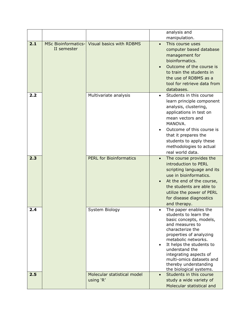|     |             |                                              | analysis and                                                                                                                                                                                                                                                                                                                                         |
|-----|-------------|----------------------------------------------|------------------------------------------------------------------------------------------------------------------------------------------------------------------------------------------------------------------------------------------------------------------------------------------------------------------------------------------------------|
|     |             |                                              | manipulation.                                                                                                                                                                                                                                                                                                                                        |
| 2.1 | II semester | MSc Bioinformatics- Visual basics with RDBMS | This course uses<br>$\bullet$<br>computer based database<br>management for<br>bioinformatics.<br>Outcome of the course is<br>to train the students in<br>the use of RDBMS as a<br>tool for retrieve data from<br>databases.                                                                                                                          |
| 2.2 |             | Multivariate analysis                        | Students in this course<br>$\bullet$<br>learn principle component<br>analysis, clustering,<br>applications in test on<br>mean vectors and<br>MANOVA.<br>Outcome of this course is<br>that it prepares the<br>students to apply these<br>methodologies to actual<br>real world data.                                                                  |
| 2.3 |             | <b>PERL for Bioinformatics</b>               | The course provides the<br>$\bullet$<br>introduction to PERL<br>scripting language and its<br>use in bioinformatics.<br>At the end of the course,<br>the students are able to<br>utilize the power of PERL<br>for disease diagnostics<br>and therapy.                                                                                                |
| 2.4 |             | System Biology                               | The paper enables the<br>$\bullet$<br>students to learn the<br>basic concepts, models,<br>and measures to<br>characterize the<br>properties of analyzing<br>metabolic networks.<br>It helps the students to<br>$\bullet$<br>understand the<br>integrating aspects of<br>multi-omics datasets and<br>thereby understanding<br>the biological systems. |
| 2.5 |             | Molecular statistical model<br>using 'R'     | Students in this course<br>$\bullet$<br>study a wide variety of<br>Molecular statistical and                                                                                                                                                                                                                                                         |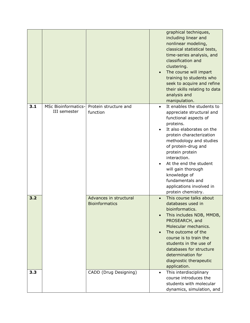|     |                                            |                                                 |           | graphical techniques,<br>including linear and<br>nonlinear modeling,<br>classical statistical tests,<br>time-series analysis, and<br>classification and<br>clustering.<br>The course will impart<br>training to students who<br>seek to acquire and refine<br>their skills relating to data<br>analysis and<br>manipulation.                                                      |
|-----|--------------------------------------------|-------------------------------------------------|-----------|-----------------------------------------------------------------------------------------------------------------------------------------------------------------------------------------------------------------------------------------------------------------------------------------------------------------------------------------------------------------------------------|
| 3.1 | <b>MSc Bioinformatics-</b><br>III semester | Protein structure and<br>function               | $\bullet$ | It enables the students to<br>appreciate structural and<br>functional aspects of<br>proteins.<br>It also elaborates on the<br>protein characterization<br>methodology and studies<br>of protein-drug and<br>protein protein<br>interaction.<br>At the end the student<br>will gain thorough<br>knowledge of<br>fundamentals and<br>applications involved in<br>protein chemistry. |
| 3.2 |                                            | Advances in structural<br><b>Bioinformatics</b> |           | This course talks about<br>databases used in<br>bioinformatics.<br>This includes NDB, MMDB,<br>PROSEARCH, and<br>Molecular mechanics.<br>The outcome of the<br>course is to train the<br>students in the use of<br>databases for structure<br>determination for<br>diagnostic therapeutic<br>application.                                                                         |
| 3.3 |                                            | CADD (Drug Designing)                           | $\bullet$ | This interdisciplinary<br>course introduces the<br>students with molecular<br>dynamics, simulation, and                                                                                                                                                                                                                                                                           |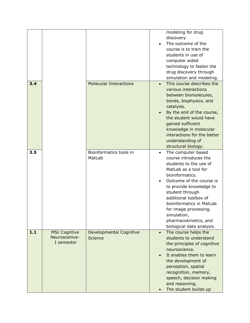|     |                                                    |                                    |           | modeling for drug<br>discovery.<br>The outcome of the<br>course is to train the<br>students in use of<br>computer aided<br>technology to fasten the<br>drug discovery through<br>simulation and modeling.                                                                                                                                     |
|-----|----------------------------------------------------|------------------------------------|-----------|-----------------------------------------------------------------------------------------------------------------------------------------------------------------------------------------------------------------------------------------------------------------------------------------------------------------------------------------------|
| 3.4 |                                                    | <b>Molecular Interactions</b>      |           | This course describes the<br>various interactions<br>between biomolecules,<br>bonds, biophysics, and<br>catalysis.<br>By the end of the course,<br>the student would have<br>gained sufficient<br>knowledge in molecular<br>interactions for the better<br>understanding of<br>structural biology.                                            |
| 3.5 |                                                    | Bioinformatics tools in<br>MatLab  | $\bullet$ | The computer based<br>course introduces the<br>students to the use of<br>MatLab as a tool for<br>bioinformatics.<br>Outcome of the course is<br>to provide knowledge to<br>student through<br>additional toolbox of<br>bioinformatics in MatLab<br>for image processing,<br>simulation,<br>pharmacokinetics, and<br>biological data analysis. |
| 1.1 | <b>MSc Cogntive</b><br>Neurosceince-<br>I semester | Developmental Cognitive<br>Science | $\bullet$ | The course helps the<br>students to understand<br>the principles of cognitive<br>neuroscience.<br>It enables them to learn<br>the development of<br>perception, spatial<br>recognition, memory,<br>speech, decision making<br>and reasoning.<br>The student builds up                                                                         |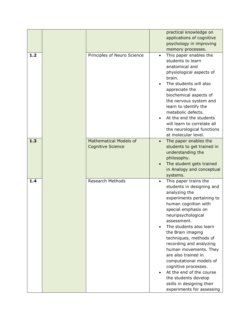|     |                                                           |                        | practical knowledge on<br>applications of cognitive<br>psychology in improving<br>memory processes.                                                                                                                                                                                                                                                                                                                                                                                                        |
|-----|-----------------------------------------------------------|------------------------|------------------------------------------------------------------------------------------------------------------------------------------------------------------------------------------------------------------------------------------------------------------------------------------------------------------------------------------------------------------------------------------------------------------------------------------------------------------------------------------------------------|
| 1.2 | Principles of Neuro Science                               | $\bullet$              | This paper enables the<br>students to learn<br>anatomical and<br>physiological aspects of<br>brain.<br>The students will also<br>appreciate the<br>biochemical aspects of<br>the nervous system and<br>learn to identify the<br>metabolic defects.<br>At the end the students<br>will learn to correlate all<br>the neurological functions<br>at molecular level.                                                                                                                                          |
| 1.3 | <b>Mathematical Models of</b><br><b>Cognitive Science</b> | $\bullet$<br>$\bullet$ | The paper enables the<br>students to get trained in<br>understanding the<br>philosophy.<br>The student gets trained<br>in Analogy and conceptual<br>systems.                                                                                                                                                                                                                                                                                                                                               |
| 1.4 | <b>Research Methods</b>                                   | $\bullet$              | This paper trains the<br>students in designing and<br>analyzing the<br>experiments pertaining to<br>human cognition with<br>special emphasis on<br>neuripsychological<br>assessment.<br>The students also learn<br>the Brain imaging<br>techniques, methods of<br>recording and analyzing<br>human movements. They<br>are also trained in<br>computational models of<br>cognitive processes.<br>At the end of the course<br>the students develop<br>skills in designing their<br>experiments for assessing |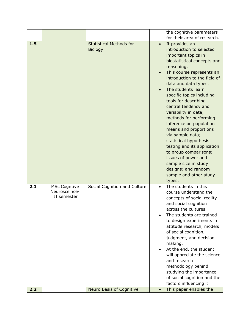|     |                                                     |                                                  |                        | the cognitive parameters                                                                                                                                                                                                                                                                                                                                                                                                                                                                                                                                                                                                     |
|-----|-----------------------------------------------------|--------------------------------------------------|------------------------|------------------------------------------------------------------------------------------------------------------------------------------------------------------------------------------------------------------------------------------------------------------------------------------------------------------------------------------------------------------------------------------------------------------------------------------------------------------------------------------------------------------------------------------------------------------------------------------------------------------------------|
|     |                                                     |                                                  |                        | for their area of research.                                                                                                                                                                                                                                                                                                                                                                                                                                                                                                                                                                                                  |
| 1.5 |                                                     | <b>Statistical Methods for</b><br><b>Biology</b> | $\bullet$<br>$\bullet$ | It provides an<br>introduction to selected<br>important topics in<br>biostatistical concepts and<br>reasoning.<br>This course represents an<br>introduction to the field of<br>data and data types.<br>The students learn<br>specific topics including<br>tools for describing<br>central tendency and<br>variability in data;<br>methods for performing<br>inference on population<br>means and proportions<br>via sample data;<br>statistical hypothesis<br>testing and its application<br>to group comparisons;<br>issues of power and<br>sample size in study<br>designs; and random<br>sample and other study<br>types. |
| 2.1 | <b>MSc Cogntive</b><br>Neurosceince-<br>II semester | Social Cognition and Culture                     | $\bullet$<br>$\bullet$ | The students in this<br>course understand the<br>concepts of social reality<br>and social cognition<br>across the cultures.<br>The students are trained<br>to design experiments in<br>attitude research, models<br>of social cognition,<br>judgment, and decision<br>making.<br>At the end, the student<br>will appreciate the science<br>and research<br>methodology behind<br>studying the importance<br>of social cognition and the<br>factors influencing it.                                                                                                                                                           |
| 2.2 |                                                     | Neuro Basis of Cognitive                         | $\bullet$              | This paper enables the                                                                                                                                                                                                                                                                                                                                                                                                                                                                                                                                                                                                       |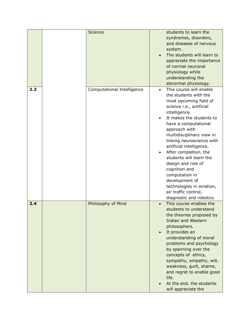|     | Science                    | students to learn the<br>syndromes, disorders,<br>and diseases of nervous<br>system.<br>The students will learn to<br>appreciate the importance<br>of normal neuronal<br>physiology while<br>understanding the<br>abnormal physiology.                                                                                                                                                                                                                                                                          |
|-----|----------------------------|-----------------------------------------------------------------------------------------------------------------------------------------------------------------------------------------------------------------------------------------------------------------------------------------------------------------------------------------------------------------------------------------------------------------------------------------------------------------------------------------------------------------|
| 2.3 | Computational Intelligence | This course will enable<br>$\bullet$<br>the students with the<br>most upcoming field of<br>science i.e., artificial<br>intelligence.<br>It makes the students to<br>have a computational<br>approach with<br>multidisciplinary view in<br>linking neuroscience with<br>artificial intelligence.<br>After completion, the<br>students will learn the<br>design and role of<br>cognition and<br>computation in<br>development of<br>technologies in aviation,<br>air traffic control,<br>diagnostic and robotics. |
| 2.4 | Philosophy of Mind         | This course enables the<br>students to understand<br>the theories proposed by<br><b>Indian and Western</b><br>philosophers.<br>It provides an<br>understanding of moral<br>problems and psychology<br>by spanning over the<br>concepts of ethics,<br>sympathy, empathy, will,<br>weakness, guilt, shame,<br>and regret to enable good<br>life.<br>At the end, the students<br>will appreciate the                                                                                                               |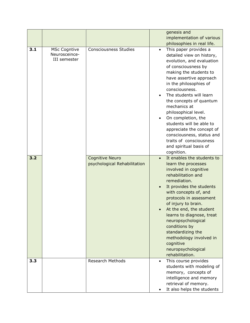|     |                                                      |                                                        | genesis and<br>implementation of various<br>philosophies in real life.                                                                                                                                                                                                                                                                                                                                                                                                                                         |
|-----|------------------------------------------------------|--------------------------------------------------------|----------------------------------------------------------------------------------------------------------------------------------------------------------------------------------------------------------------------------------------------------------------------------------------------------------------------------------------------------------------------------------------------------------------------------------------------------------------------------------------------------------------|
| 3.1 | <b>MSc Cogntive</b><br>Neurosceince-<br>III semester | <b>Consciousness Studies</b>                           | This paper provides a<br>$\bullet$<br>detailed view on history,<br>evolution, and evaluation<br>of consciousness by<br>making the students to<br>have assertive approach<br>in the philosophies of<br>consciousness.<br>The students will learn<br>the concepts of quantum<br>mechanics at<br>philosophical level.<br>On completion, the<br>$\bullet$<br>students will be able to<br>appreciate the concept of<br>consciousness, status and<br>traits of consciousness<br>and spiritual basis of<br>cognition. |
| 3.2 |                                                      | <b>Cognitive Neuro</b><br>psychological Rehabilitation | It enables the students to<br>$\bullet$<br>learn the processes<br>involved in cognitive<br>rehabilitation and<br>remediation.<br>It provides the students<br>with concepts of, and<br>protocols in assessment<br>of injury to brain.<br>At the end, the student<br>learns to diagnose, treat<br>neuropsychological<br>conditions by<br>standardizing the<br>methodology involved in<br>cognitive<br>neuropsychological<br>rehabilitation.                                                                      |
| 3.3 |                                                      | <b>Research Methods</b>                                | This course provides<br>$\bullet$<br>students with modeling of<br>memory, concepts of<br>intelligence and memory<br>retrieval of memory.<br>It also helps the students                                                                                                                                                                                                                                                                                                                                         |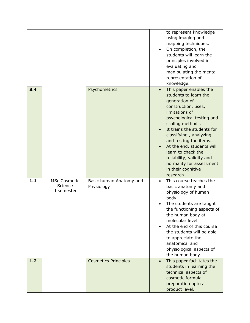|     |                                              |                                       | to represent knowledge<br>using imaging and<br>mapping techniques.<br>On completion, the<br>$\bullet$<br>students will learn the<br>principles involved in<br>evaluating and<br>manipulating the mental<br>representation of<br>knowledge.                                                                                                                                                                |                            |
|-----|----------------------------------------------|---------------------------------------|-----------------------------------------------------------------------------------------------------------------------------------------------------------------------------------------------------------------------------------------------------------------------------------------------------------------------------------------------------------------------------------------------------------|----------------------------|
| 3.4 |                                              | Psychometrics                         | This paper enables the<br>$\bullet$<br>students to learn the<br>generation of<br>construction, uses,<br>limitations of<br>psychological testing and<br>scaling methods.<br>It trains the students for<br>classifying, analyzing,<br>and testing the items.<br>At the end, students will<br>learn to check the<br>reliability, validity and<br>normality for assessment<br>in their cognitive<br>research. |                            |
| 1.1 | <b>MSc Cosmetic</b><br>Science<br>I semester | Basic human Anatomy and<br>Physiology | This course teaches the<br>$\bullet$<br>basic anatomy and<br>physiology of human<br>body.<br>The students are taught<br>the human body at<br>molecular level.<br>At the end of this course<br>the students will be able<br>to appreciate the<br>anatomical and<br>physiological aspects of<br>the human body.                                                                                             | the functioning aspects of |
| 1.2 |                                              | <b>Cosmetics Principles</b>           | This paper facilitates the<br>$\bullet$<br>students in learning the<br>technical aspects of<br>cosmetic formula<br>preparation upto a<br>product level.                                                                                                                                                                                                                                                   |                            |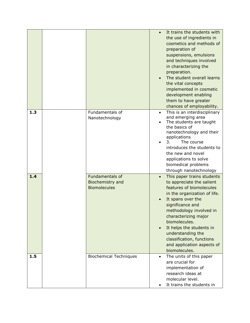|     |                                                                   |                        | It trains the students with<br>the use of ingredients in<br>cosmetics and methods of<br>preparation of<br>suspensions, emulsions<br>and techniques involved<br>in characterizing the<br>preparation.<br>The student overall learns<br>the vital concepts<br>implemented in cosmetic<br>development enabling<br>them to have greater<br>chances of employability. |
|-----|-------------------------------------------------------------------|------------------------|------------------------------------------------------------------------------------------------------------------------------------------------------------------------------------------------------------------------------------------------------------------------------------------------------------------------------------------------------------------|
| 1.3 | Fundamentals of<br>Nanotechnology                                 | $\bullet$              | This is an interdisciplinary<br>and emerging area<br>The students are taught<br>the basics of<br>nanotechnology and their<br>applications<br>3.<br>The course<br>introduces the students to<br>the new and novel<br>applications to solve<br>biomedical problems<br>through nanotechnology                                                                       |
| 1.4 | Fundamentals of<br><b>Biochemistry and</b><br><b>Biomolecules</b> | $\bullet$<br>$\bullet$ | This paper trains students<br>to appreciate the salient<br>features of biomolecules<br>in the organization of life.<br>It spans over the<br>significance and<br>methodology involved in<br>characterizing major<br>biomolecules.<br>It helps the students in<br>understanding the<br>classification, functions<br>and application aspects of<br>biomolecules.    |
| 1.5 | <b>Biochemical Techniques</b>                                     | $\bullet$              | The units of this paper<br>are crucial for<br>implementation of<br>research ideas at<br>molecular level.<br>It trains the students in                                                                                                                                                                                                                            |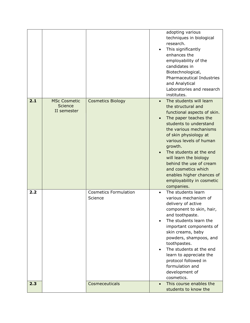|     |                                               |                                         | $\bullet$              | adopting various<br>techniques in biological<br>research.<br>This significantly<br>enhances the<br>employability of the<br>candidates in<br>Biotechnological,<br>Pharmaceutical Industries<br>and Analytical<br>Laboratories and research<br>institutes.                                                                                                                                                |
|-----|-----------------------------------------------|-----------------------------------------|------------------------|---------------------------------------------------------------------------------------------------------------------------------------------------------------------------------------------------------------------------------------------------------------------------------------------------------------------------------------------------------------------------------------------------------|
| 2.1 | <b>MSc Cosmetic</b><br>Science<br>II semester | <b>Cosmetics Biology</b>                | $\bullet$<br>$\bullet$ | The students will learn<br>the structural and<br>functional aspects of skin.<br>The paper teaches the<br>students to understand<br>the various mechanisms<br>of skin physiology at<br>various levels of human<br>growth.<br>The students at the end<br>will learn the biology<br>behind the use of cream<br>and cosmetics which<br>enables higher chances of<br>employability in cosmetic<br>companies. |
| 2.2 |                                               | <b>Cosmetics Formulation</b><br>Science | $\bullet$<br>$\bullet$ | The students learn<br>various mechanism of<br>delivery of active<br>component to skin, hair,<br>and toothpaste.<br>The students learn the<br>important components of<br>skin creams, baby<br>powders, shampoos, and<br>toothpastes.<br>The students at the end<br>learn to appreciate the<br>protocol followed in<br>formulation and<br>development of<br>cosmetics.                                    |
| 2.3 |                                               | Cosmeceuticals                          | $\bullet$              | This course enables the<br>students to know the                                                                                                                                                                                                                                                                                                                                                         |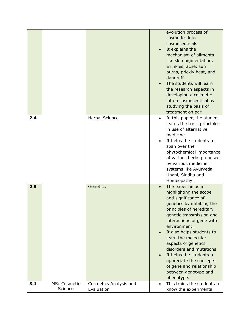|     |                                |                                      | dandruff.               | evolution process of<br>cosmetics into<br>cosmeceuticals.<br>It explains the<br>mechanism of ailments<br>like skin pigmentation,<br>wrinkles, acne, sun<br>burns, prickly heat, and<br>The students will learn<br>the research aspects in<br>developing a cosmetic<br>into a cosmeceutical by<br>studying the basis of<br>treatment on par.                                                                            |
|-----|--------------------------------|--------------------------------------|-------------------------|------------------------------------------------------------------------------------------------------------------------------------------------------------------------------------------------------------------------------------------------------------------------------------------------------------------------------------------------------------------------------------------------------------------------|
| 2.4 |                                | <b>Herbal Science</b>                | $\bullet$<br>medicine.  | In this paper, the student<br>learns the basic principles<br>in use of alternative<br>It helps the students to<br>span over the<br>phytochemical importance<br>of various herbs proposed<br>by various medicine<br>systems like Ayurveda,<br>Unani, Siddha and<br>Homeopathy.                                                                                                                                          |
| 2.5 |                                | Genetics                             | $\bullet$<br>phenotype. | The paper helps in<br>highlighting the scope<br>and significance of<br>genetics by imbibing the<br>principles of hereditary<br>genetic transmission and<br>interactions of gene with<br>environment.<br>It also helps students to<br>learn the molecular<br>aspects of genetics<br>disorders and mutations.<br>It helps the students to<br>appreciate the concepts<br>of gene and relationship<br>between genotype and |
| 3.1 | <b>MSc Cosmetic</b><br>Science | Cosmetics Analysis and<br>Evaluation |                         | This trains the students to<br>know the experimental                                                                                                                                                                                                                                                                                                                                                                   |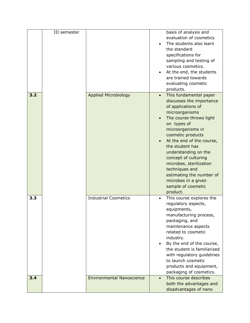|     | III semester |                                  |           | basis of analysis and<br>evaluation of cosmetics<br>The students also learn<br>the standard<br>specifications for<br>sampling and testing of<br>various cosmetics.<br>At the end, the students<br>are trained towards<br>evaluating cosmetic<br>products.                                                                                                                                                        |
|-----|--------------|----------------------------------|-----------|------------------------------------------------------------------------------------------------------------------------------------------------------------------------------------------------------------------------------------------------------------------------------------------------------------------------------------------------------------------------------------------------------------------|
| 3.2 |              | <b>Applied Microbiology</b>      | $\bullet$ | This fundamental paper<br>discusses the importance<br>of applications of<br>microorganisms<br>The course throws light<br>on types of<br>microorganisms in<br>cosmetic products<br>At the end of the course,<br>the student has<br>understanding on the<br>concept of culturing<br>microbes, sterilization<br>techniques and<br>estimating the number of<br>microbes in a given<br>sample of cosmetic<br>product. |
| 3.3 |              | <b>Industrial Cosmetics</b>      | $\bullet$ | This course explores the<br>regulatory aspects,<br>equipments,<br>manufacturing process,<br>packaging, and<br>maintenance aspects<br>related to cosmetic<br>industry.<br>By the end of the course,<br>the student is familiarized<br>with regulatory guidelines<br>to launch cosmetic<br>products and equipment,<br>packaging of cosmetics.                                                                      |
| 3.4 |              | <b>Environmental Nanoscience</b> |           | This course describes<br>both the advantages and<br>disadvantages of nano                                                                                                                                                                                                                                                                                                                                        |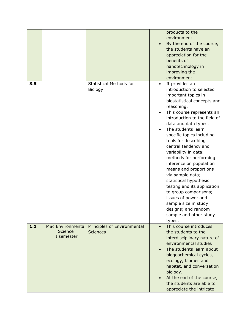|     |                          |                                |           | products to the<br>environment.                  |
|-----|--------------------------|--------------------------------|-----------|--------------------------------------------------|
|     |                          |                                |           | By the end of the course,                        |
|     |                          |                                |           | the students have an                             |
|     |                          |                                |           | appreciation for the                             |
|     |                          |                                |           | benefits of                                      |
|     |                          |                                |           | nanotechnology in<br>improving the               |
|     |                          |                                |           | environment.                                     |
| 3.5 |                          | <b>Statistical Methods for</b> | $\bullet$ | It provides an                                   |
|     |                          | Biology                        |           | introduction to selected                         |
|     |                          |                                |           | important topics in                              |
|     |                          |                                |           | biostatistical concepts and                      |
|     |                          |                                |           | reasoning.                                       |
|     |                          |                                |           | This course represents an                        |
|     |                          |                                |           | introduction to the field of                     |
|     |                          |                                |           | data and data types.                             |
|     |                          |                                |           | The students learn<br>specific topics including  |
|     |                          |                                |           | tools for describing                             |
|     |                          |                                |           | central tendency and                             |
|     |                          |                                |           | variability in data;                             |
|     |                          |                                |           | methods for performing                           |
|     |                          |                                |           | inference on population                          |
|     |                          |                                |           | means and proportions                            |
|     |                          |                                |           | via sample data;                                 |
|     |                          |                                |           | statistical hypothesis                           |
|     |                          |                                |           | testing and its application                      |
|     |                          |                                |           | to group comparisons;                            |
|     |                          |                                |           | issues of power and<br>sample size in study      |
|     |                          |                                |           | designs; and random                              |
|     |                          |                                |           | sample and other study                           |
|     |                          |                                |           | types.                                           |
| 1.1 | <b>MSc Environmental</b> | Principles of Environmental    | $\bullet$ | This course introduces                           |
|     | <b>Science</b>           | <b>Sciences</b>                |           | the students to the                              |
|     | I semester               |                                |           | interdisciplinary nature of                      |
|     |                          |                                |           | environmental studies                            |
|     |                          |                                |           | The students learn about                         |
|     |                          |                                |           | biogeochemical cycles,                           |
|     |                          |                                |           | ecology, biomes and<br>habitat, and conversation |
|     |                          |                                |           | biology.                                         |
|     |                          |                                |           | At the end of the course,                        |
|     |                          |                                |           | the students are able to                         |
|     |                          |                                |           | appreciate the intricate                         |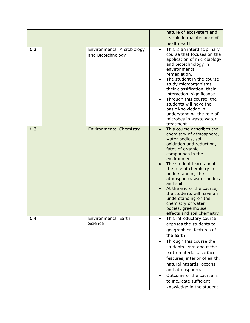|     |                                                 |           | nature of ecosystem and                                                                                                                                                                                                                                                                                                                                                                                                                           |
|-----|-------------------------------------------------|-----------|---------------------------------------------------------------------------------------------------------------------------------------------------------------------------------------------------------------------------------------------------------------------------------------------------------------------------------------------------------------------------------------------------------------------------------------------------|
|     |                                                 |           | its role in maintenance of                                                                                                                                                                                                                                                                                                                                                                                                                        |
|     |                                                 |           | health earth.                                                                                                                                                                                                                                                                                                                                                                                                                                     |
| 1.2 | Environmental Microbiology<br>and Biotechnology | $\bullet$ | This is an interdisciplinary<br>course that focuses on the<br>application of microbiology<br>and biotechnology in<br>environmental<br>remediation.<br>The student in the course<br>study microorganisms,<br>their classification, their<br>interaction, significance.<br>Through this course, the<br>students will have the<br>basic knowledge in<br>understanding the role of<br>microbes in waste water<br>treatment                            |
| 1.3 | <b>Environmental Chemistry</b>                  |           | This course describes the<br>chemistry of atmosphere,<br>water bodies, soil,<br>oxidation and reduction,<br>fates of organic<br>compounds in the<br>environment.<br>The student learn about<br>the role of chemistry in<br>understanding the<br>atmosphere, water bodies<br>and soil.<br>At the end of the course,<br>the students will have an<br>understanding on the<br>chemistry of water<br>bodies, greenhouse<br>effects and soil chemistry |
| 1.4 | <b>Environmental Earth</b><br>Science           | $\bullet$ | This introductory course<br>exposes the students to<br>geographical features of<br>the earth.<br>Through this course the<br>students learn about the<br>earth materials, surface<br>features, interior of earth,<br>natural hazards, oceans<br>and atmosphere.<br>Outcome of the course is<br>to inculcate sufficient<br>knowledge in the student                                                                                                 |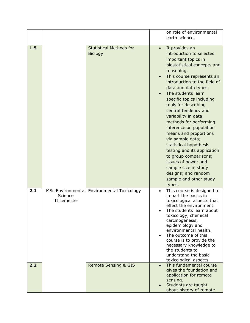|     |                                                    |                                                  | on role of environmental                                                                                                                                                                                                                                                                                                                                                                                                                                                                                                                                                                                                                               |
|-----|----------------------------------------------------|--------------------------------------------------|--------------------------------------------------------------------------------------------------------------------------------------------------------------------------------------------------------------------------------------------------------------------------------------------------------------------------------------------------------------------------------------------------------------------------------------------------------------------------------------------------------------------------------------------------------------------------------------------------------------------------------------------------------|
|     |                                                    |                                                  | earth science.                                                                                                                                                                                                                                                                                                                                                                                                                                                                                                                                                                                                                                         |
| 1.5 |                                                    | <b>Statistical Methods for</b><br><b>Biology</b> | It provides an<br>$\bullet$<br>introduction to selected<br>important topics in<br>biostatistical concepts and<br>reasoning.<br>This course represents an<br>$\bullet$<br>introduction to the field of<br>data and data types.<br>The students learn<br>specific topics including<br>tools for describing<br>central tendency and<br>variability in data;<br>methods for performing<br>inference on population<br>means and proportions<br>via sample data;<br>statistical hypothesis<br>testing and its application<br>to group comparisons;<br>issues of power and<br>sample size in study<br>designs; and random<br>sample and other study<br>types. |
| 2.1 | <b>MSc Environmental</b><br>Science<br>II semester | <b>Environmental Toxicology</b>                  | This course is designed to<br>$\bullet$<br>impart the basics in<br>toxicological aspects that<br>effect the environment.<br>The students learn about<br>toxicology, chemical<br>carcinogenesis,<br>epidemiology and<br>environmental health.<br>The outcome of this<br>course is to provide the<br>necessary knowledge to<br>the students to<br>understand the basic<br>toxicological aspects                                                                                                                                                                                                                                                          |
| 2.2 |                                                    | <b>Remote Sensing &amp; GIS</b>                  | This fundamental course<br>gives the foundation and<br>application for remote<br>sensing.<br>Students are taught<br>about history of remote                                                                                                                                                                                                                                                                                                                                                                                                                                                                                                            |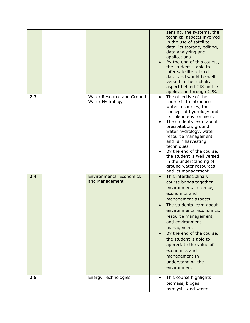|     |                                                  |           | sensing, the systems, the<br>technical aspects involved<br>in the use of satellite<br>data, its storage, editing,<br>data analyzing and<br>applications.<br>By the end of this course,<br>the student is able to<br>infer satellite related<br>data, and would be well<br>versed in the technical<br>aspect behind GIS and its<br>application through GPS.                                                        |
|-----|--------------------------------------------------|-----------|-------------------------------------------------------------------------------------------------------------------------------------------------------------------------------------------------------------------------------------------------------------------------------------------------------------------------------------------------------------------------------------------------------------------|
| 2.3 | Water Resource and Ground<br>Water Hydrology     |           | The objective of the<br>course is to introduce<br>water resources, the<br>concept of hydrology and<br>its role in environment.<br>The students learn about<br>precipitation, ground<br>water hydrology, water<br>resource management<br>and rain harvesting<br>techniques.<br>By the end of the course,<br>the student is well versed<br>in the understanding of<br>ground water resources<br>and its management. |
| 2.4 | <b>Environmental Economics</b><br>and Management | $\bullet$ | This interdisciplinary<br>course brings together<br>environmental science,<br>economics and<br>management aspects.<br>The students learn about<br>environmental economics,<br>resource management,<br>and environment<br>management.<br>By the end of the course,<br>the student is able to<br>appreciate the value of<br>economics and<br>management In<br>understanding the<br>environment.                     |
| 2.5 | <b>Energy Technologies</b>                       | $\bullet$ | This course highlights<br>biomass, biogas,<br>pyrolysis, and waste                                                                                                                                                                                                                                                                                                                                                |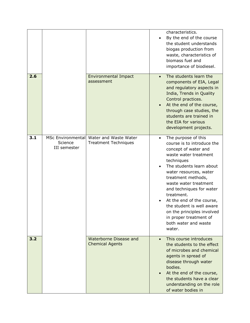|     |                                              |                                                      |           | characteristics.<br>By the end of the course<br>the student understands<br>biogas production from<br>waste, characteristics of<br>biomass fuel and<br>importance of biodiesel.                                                                                                                                                                                                                                      |
|-----|----------------------------------------------|------------------------------------------------------|-----------|---------------------------------------------------------------------------------------------------------------------------------------------------------------------------------------------------------------------------------------------------------------------------------------------------------------------------------------------------------------------------------------------------------------------|
| 2.6 |                                              | <b>Environmental Impact</b><br>assessment            |           | The students learn the<br>components of EIA, Legal<br>and regulatory aspects in<br>India, Trends in Quality<br>Control practices.<br>At the end of the course,<br>through case studies, the<br>students are trained in<br>the EIA for various<br>development projects.                                                                                                                                              |
| 3.1 | MSc Environmental<br>Science<br>III semester | Water and Waste Water<br><b>Treatment Techniques</b> | $\bullet$ | The purpose of this<br>course is to introduce the<br>concept of water and<br>waste water treatment<br>techniques<br>The students learn about<br>water resources, water<br>treatment methods,<br>waste water treatment<br>and techniques for water<br>treatment.<br>At the end of the course,<br>the student is well aware<br>on the principles involved<br>in proper treatment of<br>both water and waste<br>water. |
| 3.2 |                                              | Waterborne Disease and<br><b>Chemical Agents</b>     |           | This course introduces<br>the students to the effect<br>of microbes and chemical<br>agents in spread of<br>disease through water<br>bodies.<br>At the end of the course,<br>the students have a clear<br>understanding on the role<br>of water bodies in                                                                                                                                                            |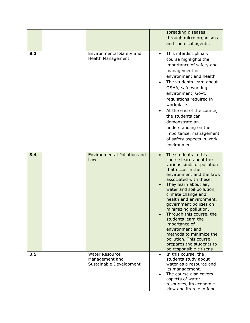|     |                                                                    |           | spreading diseases<br>through micro organisms<br>and chemical agents.                                                                                                                                                                                                                                                                                                                                                                                                                                               |
|-----|--------------------------------------------------------------------|-----------|---------------------------------------------------------------------------------------------------------------------------------------------------------------------------------------------------------------------------------------------------------------------------------------------------------------------------------------------------------------------------------------------------------------------------------------------------------------------------------------------------------------------|
| 3.3 | Environmental Safety and<br><b>Health Management</b>               | $\bullet$ | This interdisciplinary<br>course highlights the<br>importance of safety and<br>management of<br>environment and health<br>The students learn about<br>OSHA, safe working<br>environment, Govt.<br>regulations required in<br>workplace.<br>At the end of the course,<br>the students can<br>demonstrate an<br>understanding on the<br>importance, management<br>of safety aspects in work<br>environment.                                                                                                           |
| 3.4 | Environmental Pollution and<br>Law                                 |           | The students in this<br>course learn about the<br>various kinds of pollution<br>that occur in the<br>environment and the laws<br>associated with these.<br>They learn about air,<br>water and soil pollution,<br>climate change and<br>health and environment,<br>government policies on<br>minimizing pollution.<br>Through this course, the<br>students learn the<br>importance of<br>environment and<br>methods to minimize the<br>pollution. This course<br>prepares the students to<br>be responsible citizens |
| 3.5 | <b>Water Resource</b><br>Management and<br>Sustainable Development | $\bullet$ | In this course, the<br>students study about<br>water as a resource and<br>its management.<br>The course also covers<br>aspects of water<br>resources, its economic<br>view and its role in food                                                                                                                                                                                                                                                                                                                     |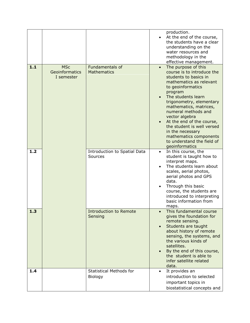|       |                                            |                                           | production.<br>At the end of the course,<br>the students have a clear<br>understanding on the<br>water resources and<br>methodology in the<br>effective management.                                                                                                                                                                                                                                                 |
|-------|--------------------------------------------|-------------------------------------------|---------------------------------------------------------------------------------------------------------------------------------------------------------------------------------------------------------------------------------------------------------------------------------------------------------------------------------------------------------------------------------------------------------------------|
| $1.1$ | <b>MSc</b><br>Geoinformatics<br>I semester | Fundamentals of<br><b>Mathematics</b>     | The purpose of this<br>course is to introduce the<br>students to basics in<br>mathematics as relevant<br>to geoinformatics<br>program<br>The students learn<br>trigonometry, elementary<br>mathematics, matrices,<br>numeral methods and<br>vector algebra<br>At the end of the course,<br>the student is well versed<br>in the necessary<br>mathematics components<br>to understand the field of<br>geoinformatics |
| 1.2   |                                            | Introduction to Spatial Data<br>Sources   | In this course, the<br>$\bullet$<br>student is taught how to<br>interpret maps.<br>The students learn about<br>scales, aerial photos,<br>aerial photos and GPS<br>data.<br>Through this basic<br>course, the students are<br>introduced to interpreting<br>basic information from<br>maps.                                                                                                                          |
| 13    |                                            | <b>Introduction to Remote</b><br>Sensing  | This fundamental course<br>gives the foundation for<br>remote sensing.<br>Students are taught<br>about history of remote<br>sensing, the systems, and<br>the various kinds of<br>satellites.<br>By the end of this course,<br>the student is able to<br>infer satellite related<br>data.                                                                                                                            |
| 1.4   |                                            | <b>Statistical Methods for</b><br>Biology | It provides an<br>$\bullet$<br>introduction to selected<br>important topics in<br>biostatistical concepts and                                                                                                                                                                                                                                                                                                       |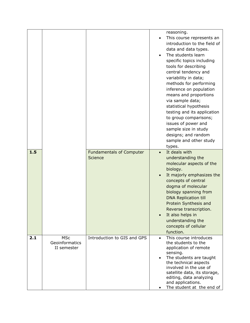| 1.5<br>2.1 | <b>MSc</b><br>Geoinformatics<br>II semester | <b>Fundamentals of Computer</b><br>Science<br>Introduction to GIS and GPS | $\bullet$<br>$\bullet$<br>$\bullet$<br>$\bullet$ | types.<br>It deals with<br>understanding the<br>molecular aspects of the<br>biology.<br>It majorly emphasizes the<br>concepts of central<br>dogma of molecular<br>biology spanning from<br><b>DNA Replication till</b><br>Protein Synthesis and<br>Reverse transcription.<br>It also helps in<br>understanding the<br>concepts of cellular<br>function.<br>This course introduces<br>the students to the<br>application of remote<br>sensing.<br>The students are taught<br>the technical aspects<br>involved in the use of |
|------------|---------------------------------------------|---------------------------------------------------------------------------|--------------------------------------------------|-----------------------------------------------------------------------------------------------------------------------------------------------------------------------------------------------------------------------------------------------------------------------------------------------------------------------------------------------------------------------------------------------------------------------------------------------------------------------------------------------------------------------------|
|            |                                             |                                                                           |                                                  | reasoning.<br>This course represents an<br>introduction to the field of<br>data and data types.<br>The students learn<br>specific topics including<br>tools for describing<br>central tendency and<br>variability in data;<br>methods for performing<br>inference on population<br>means and proportions<br>via sample data;<br>statistical hypothesis<br>testing and its application<br>to group comparisons;<br>issues of power and<br>sample size in study<br>designs; and random<br>sample and other study              |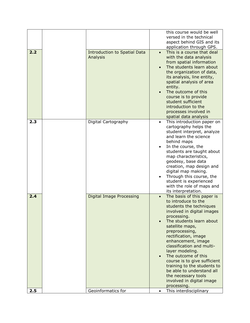|     |                                                 | this course would be well<br>versed in the technical<br>aspect behind GIS and its<br>application through GPS.                                                                                                                                                                                                                                                                                                                                                                               |
|-----|-------------------------------------------------|---------------------------------------------------------------------------------------------------------------------------------------------------------------------------------------------------------------------------------------------------------------------------------------------------------------------------------------------------------------------------------------------------------------------------------------------------------------------------------------------|
| 2.2 | <b>Introduction to Spatial Data</b><br>Analysis | This is a course that deal<br>$\bullet$<br>with the data analysis<br>from spatial information<br>The students learn about<br>the organization of data,<br>its analysis, line entity,<br>spatial analysis of area<br>entity.<br>The outcome of this<br>course is to provide<br>student sufficient<br>introduction to the<br>processes involved in<br>spatial data analysis                                                                                                                   |
| 2.3 | Digital Cartography                             | This introduction paper on<br>$\bullet$<br>cartography helps the<br>student interpret, analyze<br>and learn the science<br>behind maps<br>In the course, the<br>students are taught about<br>map characteristics,<br>geodesy, base data<br>creation, map design and<br>digital map making.<br>Through this course, the<br>$\bullet$<br>student is experienced<br>with the role of maps and<br>its interpretation.                                                                           |
| 2.4 | <b>Digital Image Processing</b>                 | The basis of this paper is<br>$\bullet$<br>to introduce to the<br>students the techniques<br>involved in digital images<br>processing.<br>The students learn about<br>satellite maps,<br>preprocessing,<br>rectification, image<br>enhancement, image<br>classification and multi-<br>layer modeling.<br>The outcome of this<br>course is to give sufficient<br>training to the students to<br>be able to understand all<br>the necessary tools<br>involved in digital image<br>processing. |
| 2.5 | Geoinformatics for                              | This interdisciplinary<br>$\bullet$                                                                                                                                                                                                                                                                                                                                                                                                                                                         |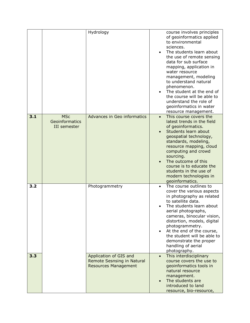|     |                                              | Hydrology                                                                           |           | course involves principles<br>of geoinformatics applied<br>to environmental<br>sciences.<br>The students learn about<br>the use of remote sensing<br>data for sub surface<br>mapping, application in<br>water resource<br>management, modeling<br>to understand natural<br>phenomenon.<br>The student at the end of<br>the course will be able to<br>understand the role of<br>geoinformatics in water<br>resource management. |
|-----|----------------------------------------------|-------------------------------------------------------------------------------------|-----------|--------------------------------------------------------------------------------------------------------------------------------------------------------------------------------------------------------------------------------------------------------------------------------------------------------------------------------------------------------------------------------------------------------------------------------|
| 3.1 | <b>MSc</b><br>Geoinformatics<br>III semester | Advances in Geo informatics                                                         |           | This course covers the<br>latest trends in the field<br>of geoinformatics.<br>Students learn about<br>geospatial technology,<br>standards, modeling,<br>resource mapping, cloud<br>computing and crowd<br>sourcing.<br>The outcome of this<br>course is to educate the<br>students in the use of<br>modern technologies in<br>geoinformatics.                                                                                  |
| 3.2 |                                              | Photogrammetry                                                                      | $\bullet$ | The course outlines to<br>cover the various aspects<br>in photography as related<br>to satellite data.<br>The students learn about<br>aerial photographs,<br>cameras, binocular vision,<br>distortion, models, digital<br>photogrammetry.<br>At the end of the course,<br>the student will be able to<br>demonstrate the proper<br>handling of aerial<br>photography.                                                          |
| 3.3 |                                              | Application of GIS and<br>Remote Sesnsing in Natural<br><b>Resources Management</b> | $\bullet$ | This interdisciplinary<br>course covers the use to<br>geoinformatics tools in<br>natural resource<br>management.<br>The students are<br>introduced to land<br>resource, bio-resource,                                                                                                                                                                                                                                          |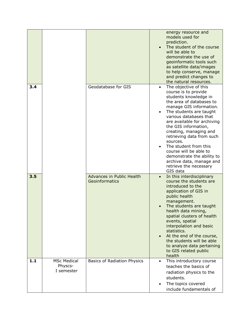|     |                                             |                                             |           | energy resource and<br>models used for<br>prediction.<br>The student of the course<br>will be able to<br>demonstrate the use of<br>geoinformatic tools such<br>as satellite data/images<br>to help conserve, manage<br>and predict changes to<br>the natural resources.                                                                                                                                                                                         |
|-----|---------------------------------------------|---------------------------------------------|-----------|-----------------------------------------------------------------------------------------------------------------------------------------------------------------------------------------------------------------------------------------------------------------------------------------------------------------------------------------------------------------------------------------------------------------------------------------------------------------|
| 3.4 |                                             | Geodatabase for GIS                         |           | The objective of this<br>course is to provide<br>students knowledge in<br>the area of databases to<br>manage GIS information.<br>The students are taught<br>various databases that<br>are available for archiving<br>the GIS information,<br>creating, managing and<br>retrieving data from such<br>sources.<br>The student from this<br>course will be able to<br>demonstrate the ability to<br>archive data, manage and<br>retrieve the necessary<br>GIS data |
| 3.5 |                                             | Advances in Public Health<br>Geoinformatics | $\bullet$ | In this interdisciplinary<br>course the students are<br>introduced to the<br>application of GIS in<br>public health<br>management.<br>The students are taught<br>health data mining,<br>spatial clusters of health<br>events, spatial<br>interpolation and basic<br>statistics.<br>At the end of the course,<br>the students will be able<br>to analyze data pertaining<br>to GIS related public<br>health                                                      |
| 1.1 | <b>MSc Medical</b><br>Physcs-<br>I semester | Basics of Radiation Physics                 | $\bullet$ | This introductory course<br>teaches the basics of<br>radiation physics to the<br>students.<br>The topics covered<br>include fundamentals of                                                                                                                                                                                                                                                                                                                     |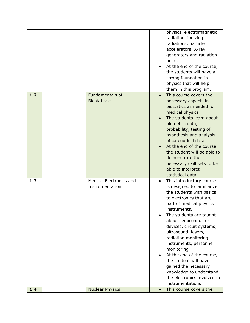|     |                                                   | physics, electromagnetic<br>radiation, ionizing<br>radiations, particle<br>accelerators, X-ray<br>generators and radiation<br>units.<br>At the end of the course,<br>the students will have a<br>strong foundation in<br>physics that will help<br>them in this program.                                                                                                                                                                                                                                 |  |
|-----|---------------------------------------------------|----------------------------------------------------------------------------------------------------------------------------------------------------------------------------------------------------------------------------------------------------------------------------------------------------------------------------------------------------------------------------------------------------------------------------------------------------------------------------------------------------------|--|
| 1.2 | <b>Fundamentals of</b><br><b>Biostatistics</b>    | This course covers the<br>necessary aspects in<br>biostatics as needed for<br>medical physics<br>The students learn about<br>biometric data,<br>probability, testing of<br>hypothesis and analysis<br>of categorical data<br>At the end of the course<br>the student will be able to<br>demonstrate the<br>necessary skill sets to be<br>able to interpret<br>statistical data.                                                                                                                          |  |
| 1.3 | <b>Medical Electronics and</b><br>Instrumentation | This introductory course<br>$\bullet$<br>is designed to familiarize<br>the students with basics<br>to electronics that are<br>part of medical physics<br>instruments.<br>The students are taught<br>about semiconductor<br>devices, circuit systems,<br>ultrasound, lasers,<br>radiation monitoring<br>instruments, personnel<br>monitoring<br>At the end of the course,<br>the student will have<br>gained the necessary<br>knowledge to understand<br>the electronics involved in<br>instrumentations. |  |
| 1.4 | <b>Nuclear Physics</b>                            | This course covers the<br>$\bullet$                                                                                                                                                                                                                                                                                                                                                                                                                                                                      |  |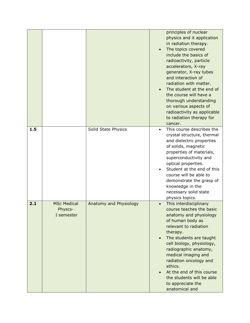|     |                                             |                        | principles of nuclear<br>physics and it application<br>in radiation therapy.<br>The topics covered<br>include the basics of<br>radioactivity, particle<br>accelerators, X-ray<br>generator, X-ray tubes<br>and interaction of<br>radiation with matter.<br>The student at the end of<br>the course will have a<br>thorough understanding<br>on various aspects of<br>radioactivity as applicable<br>to radiation therapy for<br>cancer. |
|-----|---------------------------------------------|------------------------|-----------------------------------------------------------------------------------------------------------------------------------------------------------------------------------------------------------------------------------------------------------------------------------------------------------------------------------------------------------------------------------------------------------------------------------------|
| 1.5 |                                             | Solid State Physics    | This course describes the<br>crystal structure, thermal<br>and dielectric properties<br>of solids, magnetic<br>properties of materials,<br>superconductivity and<br>optical properties.<br>Student at the end of this<br>course will be able to<br>demonstrate the grasp of<br>knowledge in the<br>necessary solid state<br>physics topics.                                                                                             |
| 2.1 | <b>MSc Medical</b><br>Physcs-<br>I semester | Anatomy and Physiology | This interdisciplinary<br>course teaches the basic<br>anatomy and physiology<br>of human body as<br>relevant to radiation<br>therapy.<br>The students are taught<br>cell biology, physiology,<br>radiographic anatomy,<br>medical imaging and<br>radiation oncology and<br>ethics.<br>At the end of this course<br>the students will be able<br>to appreciate the<br>anatomical and                                                     |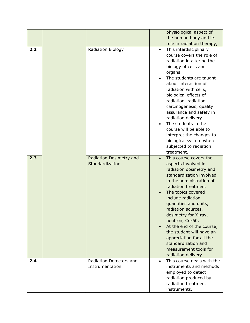|     |                                            |                                     | physiological aspect of<br>the human body and its                                                                                                                                                                                                                                                                                                                                                                                                        |
|-----|--------------------------------------------|-------------------------------------|----------------------------------------------------------------------------------------------------------------------------------------------------------------------------------------------------------------------------------------------------------------------------------------------------------------------------------------------------------------------------------------------------------------------------------------------------------|
| 2.2 | Radiation Biology                          | $\bullet$                           | role in radiation therapy,<br>This interdisciplinary                                                                                                                                                                                                                                                                                                                                                                                                     |
|     |                                            | $\bullet$                           | course covers the role of<br>radiation in altering the<br>biology of cells and<br>organs.<br>The students are taught<br>about interaction of<br>radiation with cells,<br>biological effects of<br>radiation, radiation<br>carcinogenesis, quality<br>assurance and safety in<br>radiation delivery.<br>The students in the<br>course will be able to<br>interpret the changes to<br>biological system when<br>subjected to radiation<br>treatment.       |
| 2.3 | Radiation Dosimetry and<br>Standardization | $\bullet$<br>$\bullet$<br>$\bullet$ | This course covers the<br>aspects involved in<br>radiation dosimetry and<br>standardization involved<br>in the administration of<br>radiation treatment<br>The topics covered<br>include radiation<br>quantities and units,<br>radiation sources,<br>dosimetry for X-ray,<br>neutron, Co-60.<br>At the end of the course,<br>the student will have an<br>appreciation for all the<br>standardization and<br>measurement tools for<br>radiation delivery. |
| 2.4 | Radiation Detectors and<br>Instrumentation | $\bullet$                           | This course deals with the<br>instruments and methods<br>employed to detect<br>radiation produced by<br>radiation treatment<br>instruments.                                                                                                                                                                                                                                                                                                              |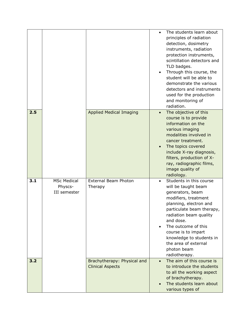|     |                                               |                                                        | $\bullet$ | The students learn about<br>principles of radiation<br>detection, dosimetry<br>instruments, radiation<br>protection instruments,<br>scintillation detectors and<br>TLD badges.<br>Through this course, the<br>student will be able to<br>demonstrate the various<br>detectors and instruments<br>used for the production<br>and monitoring of<br>radiation. |
|-----|-----------------------------------------------|--------------------------------------------------------|-----------|-------------------------------------------------------------------------------------------------------------------------------------------------------------------------------------------------------------------------------------------------------------------------------------------------------------------------------------------------------------|
| 2.5 |                                               | <b>Applied Medical Imaging</b>                         |           | The objective of this<br>course is to provide<br>information on the<br>various imaging<br>modalities involved in<br>cancer treatment.<br>The topics covered<br>include X-ray diagnosis,<br>filters, production of X-<br>ray, radiographic films,<br>image quality of<br>radiology.                                                                          |
| 3.1 | <b>MSc Medical</b><br>Physcs-<br>III semester | <b>External Beam Photon</b><br>Therapy                 |           | Students in this course<br>will be taught beam<br>generators, beam<br>modifiers, treatment<br>planning, electron and<br>particulate beam therapy,<br>radiation beam quality<br>and dose.<br>The outcome of this<br>course is to impart<br>knowledge to students in<br>the area of external<br>photon beam<br>radiotherapy.                                  |
| 3.2 |                                               | Brachytherapy: Physical and<br><b>Clinical Aspects</b> | $\bullet$ | The aim of this course is<br>to introduce the students<br>to all the working aspect<br>of brachytherapy.<br>The students learn about<br>various types of                                                                                                                                                                                                    |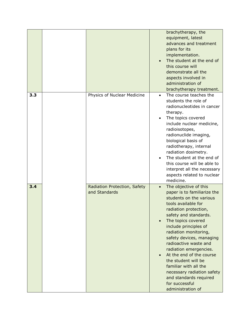|     |                                               | brachytherapy, the<br>equipment, latest<br>advances and treatment<br>plans for its<br>implementation.<br>The student at the end of<br>this course will<br>demonstrate all the<br>aspects involved in<br>administration of<br>brachytherapy treatment.                                                                                                                                                                                                                                                                             |
|-----|-----------------------------------------------|-----------------------------------------------------------------------------------------------------------------------------------------------------------------------------------------------------------------------------------------------------------------------------------------------------------------------------------------------------------------------------------------------------------------------------------------------------------------------------------------------------------------------------------|
| 3.3 | Physics of Nuclear Medicine                   | The course teaches the<br>$\bullet$<br>students the role of<br>radionucleotides in cancer<br>therapy.<br>The topics covered<br>$\bullet$<br>include nuclear medicine,<br>radioisotopes,<br>radionuclide imaging,<br>biological basis of<br>radiotherapy, internal<br>radiation dosimetry.<br>The student at the end of<br>this course will be able to<br>interpret all the necessary<br>aspects related to nuclear<br>medicine.                                                                                                   |
| 3.4 | Radiation Protection, Safety<br>and Standards | The objective of this<br>$\bullet$<br>paper is to familiarize the<br>students on the various<br>tools available for<br>radiation protection,<br>safety and standards.<br>The topics covered<br>$\bullet$<br>include principles of<br>radiation monitoring,<br>safety devices, managing<br>radioactive waste and<br>radiation emergencies.<br>At the end of the course<br>$\bullet$<br>the student will be<br>familiar with all the<br>necessary radiation safety<br>and standards required<br>for successful<br>administration of |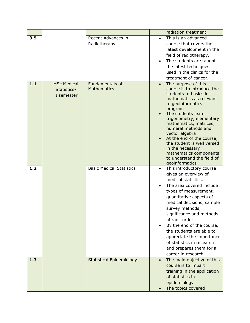|       |                                                 |                                       |                                     | radiation treatment.                                                                                                                                                                                                                                                                                                                                                                                                      |
|-------|-------------------------------------------------|---------------------------------------|-------------------------------------|---------------------------------------------------------------------------------------------------------------------------------------------------------------------------------------------------------------------------------------------------------------------------------------------------------------------------------------------------------------------------------------------------------------------------|
| 3.5   |                                                 | Recent Advances in<br>Radiotherapy    | $\bullet$<br>$\bullet$              | This is an advanced<br>course that covers the<br>latest development in the<br>field of radiotherapy.<br>The students are taught<br>the latest techniques<br>used in the clinics for the<br>treatment of cancer.                                                                                                                                                                                                           |
| $1.1$ | <b>MSc Medical</b><br>Statistics-<br>I semester | Fundamentals of<br><b>Mathematics</b> | $\bullet$<br>$\bullet$<br>$\bullet$ | The purpose of this<br>course is to introduce the<br>students to basics in<br>mathematics as relevant<br>to geoinformatics<br>program<br>The students learn<br>trigonometry, elementary<br>mathematics, matrices,<br>numeral methods and<br>vector algebra<br>At the end of the course,<br>the student is well versed<br>in the necessary<br>mathematics components<br>to understand the field of<br>geoinformatics       |
| 1.2   |                                                 | <b>Basic Medical Statistics</b>       | $\bullet$<br>$\bullet$              | This introductory course<br>gives an overview of<br>medical statistics.<br>The area covered include<br>types of measurement,<br>quantitative aspects of<br>medical decisions, sample<br>survey methods,<br>significance and methods<br>of rank order.<br>By the end of the course,<br>the students are able to<br>appreciate the importance<br>of statistics in research<br>and prepares them for a<br>career in research |
| 1.3   |                                                 | <b>Statistical Epidemiology</b>       | $\bullet$                           | The main objective of this<br>course is to impart<br>training in the application<br>of statistics in<br>epidemiology<br>The topics covered                                                                                                                                                                                                                                                                                |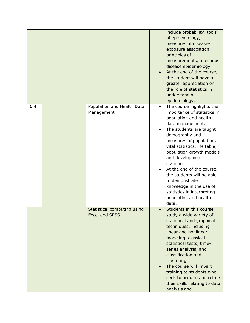|     |                                                      |           | include probability, tools<br>of epidemiology,<br>measures of disease-<br>exposure association,<br>principles of<br>measurements, infectious<br>disease epidemiology<br>At the end of the course,<br>the student will have a<br>greater appreciation on<br>the role of statistics in<br>understanding<br>epidemiology.                                                                                                                              |
|-----|------------------------------------------------------|-----------|-----------------------------------------------------------------------------------------------------------------------------------------------------------------------------------------------------------------------------------------------------------------------------------------------------------------------------------------------------------------------------------------------------------------------------------------------------|
| 1.4 | Population and Health Data<br>Management             | $\bullet$ | The course highlights the<br>importance of statistics in<br>population and health<br>data management.<br>The students are taught<br>demography and<br>measures of population,<br>vital statistics, life table,<br>population growth models<br>and development<br>statistics.<br>At the end of the course,<br>the students will be able<br>to demonstrate<br>knowledge in the use of<br>statistics in interpreting<br>population and health<br>data. |
|     | Statistical computing using<br><b>Excel and SPSS</b> |           | Students in this course<br>study a wide variety of<br>statistical and graphical<br>techniques, including<br>linear and nonlinear<br>modeling, classical<br>statistical tests, time-<br>series analysis, and<br>classification and<br>clustering.<br>The course will impart<br>training to students who<br>seek to acquire and refine<br>their skills relating to data<br>analysis and                                                               |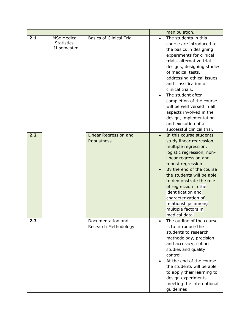|     |                                                  |                                            | manipulation.                                                                                                                                                                                                                                                                                                                                                                                                                                                          |
|-----|--------------------------------------------------|--------------------------------------------|------------------------------------------------------------------------------------------------------------------------------------------------------------------------------------------------------------------------------------------------------------------------------------------------------------------------------------------------------------------------------------------------------------------------------------------------------------------------|
| 2.1 | <b>MSc Medical</b><br>Statistics-<br>II semester | <b>Basics of Clinical Trial</b>            | The students in this<br>$\bullet$<br>course are introduced to<br>the basics in designing<br>experiments for clinical<br>trials, alternative trial<br>designs, designing studies<br>of medical tests,<br>addressing ethical issues<br>and classification of<br>clinical trials.<br>The student after<br>completion of the course<br>will be well versed in all<br>aspects involved in the<br>design, implementation<br>and execution of a<br>successful clinical trial. |
| 2.2 |                                                  | Linear Regression and<br><b>Robustness</b> | In this course students<br>$\bullet$<br>study linear regression,<br>multiple regression,<br>logistic regression, non-<br>linear regression and<br>robust regression.<br>By the end of the course<br>the students will be able<br>to demonstrate the role<br>of regression in the<br>identification and<br>characterization of<br>relationships among<br>multiple factors in<br>medical data.                                                                           |
| 2.3 |                                                  | Documentation and<br>Research Methodology  | The outline of the course<br>$\bullet$<br>is to introduce the<br>students to research<br>methodology, precision<br>and accuracy, cohort<br>studies and quality<br>control.<br>At the end of the course<br>the students will be able<br>to apply their learning to<br>design experiments<br>meeting the international<br>guidelines                                                                                                                                     |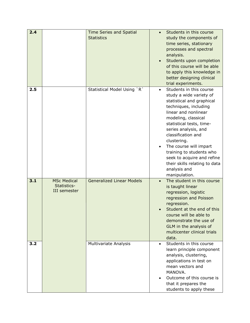| 2.4 |                                                          | <b>Time Series and Spatial</b><br><b>Statistics</b> |           | Students in this course<br>study the components of<br>time series, stationary<br>processes and spectral<br>analysis.<br>Students upon completion<br>of this course will be able<br>to apply this knowledge in<br>better designing clinical<br>trial experiments.                                                                                                                                       |
|-----|----------------------------------------------------------|-----------------------------------------------------|-----------|--------------------------------------------------------------------------------------------------------------------------------------------------------------------------------------------------------------------------------------------------------------------------------------------------------------------------------------------------------------------------------------------------------|
| 2.5 |                                                          | Statistical Model Using `R`                         | $\bullet$ | Students in this course<br>study a wide variety of<br>statistical and graphical<br>techniques, including<br>linear and nonlinear<br>modeling, classical<br>statistical tests, time-<br>series analysis, and<br>classification and<br>clustering.<br>The course will impart<br>training to students who<br>seek to acquire and refine<br>their skills relating to data<br>analysis and<br>manipulation. |
| 3.1 | <b>MSc Medical</b><br>Statistics-<br><b>III</b> semester | <b>Generalized Linear Models</b>                    | $\bullet$ | The student in this course<br>is taught linear<br>regression, logistic<br>regression and Poisson<br>regression.<br>Student at the end of this<br>course will be able to<br>demonstrate the use of<br>GLM in the analysis of<br>multicenter clinical trials<br>data.                                                                                                                                    |
| 3.2 |                                                          | Multivariate Analysis                               | $\bullet$ | Students in this course<br>learn principle component<br>analysis, clustering,<br>applications in test on<br>mean vectors and<br>MANOVA.<br>Outcome of this course is<br>that it prepares the<br>students to apply these                                                                                                                                                                                |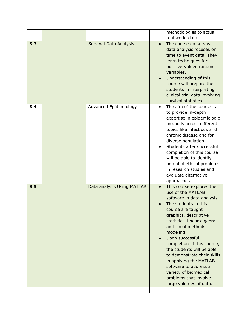|     |                            |           | methodologies to actual<br>real world data.                                                                                                                                                                                                                                                                                                                                                                                                                     |
|-----|----------------------------|-----------|-----------------------------------------------------------------------------------------------------------------------------------------------------------------------------------------------------------------------------------------------------------------------------------------------------------------------------------------------------------------------------------------------------------------------------------------------------------------|
| 3.3 | Survival Data Analysis     |           | The course on survival<br>data analysis focuses on<br>time to event data. They<br>learn techniques for<br>positive-valued random<br>variables.<br>Understanding of this<br>course will prepare the<br>students in interpreting<br>clinical trial data involving<br>survival statistics.                                                                                                                                                                         |
| 3.4 | Advanced Epidemiology      |           | The aim of the course is<br>to provide in-depth<br>expertise in epidemiologic<br>methods across different<br>topics like infectious and<br>chronic disease and for<br>diverse population.<br>Students after successful<br>completion of this course<br>will be able to identify<br>potential ethical problems<br>in research studies and<br>evaluate alternative<br>approaches.                                                                                 |
| 3.5 | Data analysis Using MATLAB | $\bullet$ | This course explores the<br>use of the MATLAB<br>software in data analysis.<br>The students in this<br>course are taught<br>graphics, descriptive<br>statistics, linear algebra<br>and lineal methods,<br>modeling.<br>Upon successful<br>completion of this course,<br>the students will be able<br>to demonstrate their skills<br>in applying the MATLAB<br>software to address a<br>variety of biomedical<br>problems that involve<br>large volumes of data. |
|     |                            |           |                                                                                                                                                                                                                                                                                                                                                                                                                                                                 |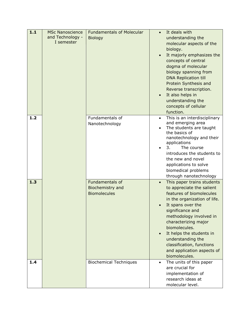| $1.1$ | <b>MSc Nanoscience</b><br>and Technology -<br>I semester | <b>Fundamentals of Molecular</b><br><b>Biology</b>         | $\bullet$<br>$\bullet$ | It deals with<br>understanding the<br>molecular aspects of the<br>biology.<br>It majorly emphasizes the<br>concepts of central<br>dogma of molecular<br>biology spanning from<br><b>DNA Replication till</b><br>Protein Synthesis and<br>Reverse transcription.<br>It also helps in<br>understanding the<br>concepts of cellular<br>function.                 |
|-------|----------------------------------------------------------|------------------------------------------------------------|------------------------|---------------------------------------------------------------------------------------------------------------------------------------------------------------------------------------------------------------------------------------------------------------------------------------------------------------------------------------------------------------|
| 1.2   |                                                          | Fundamentals of<br>Nanotechnology                          | $\bullet$              | This is an interdisciplinary<br>and emerging area<br>The students are taught<br>the basics of<br>nanotechnology and their<br>applications<br>3.<br>The course<br>introduces the students to<br>the new and novel<br>applications to solve<br>biomedical problems<br>through nanotechnology                                                                    |
| 1.3   |                                                          | Fundamentals of<br>Biochemistry and<br><b>Biomolecules</b> | $\bullet$<br>$\bullet$ | This paper trains students<br>to appreciate the salient<br>features of biomolecules<br>in the organization of life.<br>It spans over the<br>significance and<br>methodology involved in<br>characterizing major<br>biomolecules.<br>It helps the students in<br>understanding the<br>classification, functions<br>and application aspects of<br>biomolecules. |
| 1.4   |                                                          | <b>Biochemical Techniques</b>                              | $\bullet$              | The units of this paper<br>are crucial for<br>implementation of<br>research ideas at<br>molecular level.                                                                                                                                                                                                                                                      |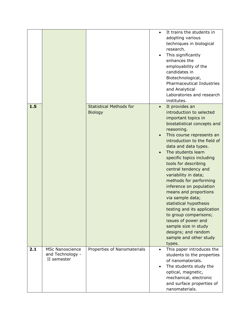|     |                                                           |                                                  |           | It trains the students in<br>adopting various<br>techniques in biological<br>research.<br>This significantly<br>enhances the<br>employability of the<br>candidates in<br>Biotechnological,<br>Pharmaceutical Industries<br>and Analytical<br>Laboratories and research<br>institutes.                                                                                                                                                                                                                                                                                                                                        |
|-----|-----------------------------------------------------------|--------------------------------------------------|-----------|------------------------------------------------------------------------------------------------------------------------------------------------------------------------------------------------------------------------------------------------------------------------------------------------------------------------------------------------------------------------------------------------------------------------------------------------------------------------------------------------------------------------------------------------------------------------------------------------------------------------------|
| 1.5 |                                                           | <b>Statistical Methods for</b><br><b>Biology</b> |           | It provides an<br>introduction to selected<br>important topics in<br>biostatistical concepts and<br>reasoning.<br>This course represents an<br>introduction to the field of<br>data and data types.<br>The students learn<br>specific topics including<br>tools for describing<br>central tendency and<br>variability in data;<br>methods for performing<br>inference on population<br>means and proportions<br>via sample data;<br>statistical hypothesis<br>testing and its application<br>to group comparisons;<br>issues of power and<br>sample size in study<br>designs; and random<br>sample and other study<br>types. |
| 2.1 | <b>MSc Nanoscience</b><br>and Technology -<br>II semester | Properties of Nanomaterials                      | $\bullet$ | This paper introduces the<br>students to the properties<br>of nanomaterials.<br>The students study the<br>optical, magnetic,<br>mechanical, electronic<br>and surface properties of<br>nanomaterials.                                                                                                                                                                                                                                                                                                                                                                                                                        |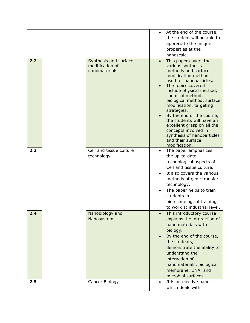|     |                                                           |                        | At the end of the course,<br>the student will be able to<br>appreciate the unique<br>properties at the<br>nanoscale.                                                                                                                                                                                                                                                                                                                                   |
|-----|-----------------------------------------------------------|------------------------|--------------------------------------------------------------------------------------------------------------------------------------------------------------------------------------------------------------------------------------------------------------------------------------------------------------------------------------------------------------------------------------------------------------------------------------------------------|
| 2.2 | Synthesis and surface<br>modification of<br>nanomaterials | $\bullet$<br>$\bullet$ | This paper covers the<br>various synthesis<br>methods and surface<br>modification methods<br>used for nanoparticles.<br>The topics covered<br>include physical method,<br>chemical method,<br>biological method, surface<br>modification, targeting<br>strategies.<br>By the end of the course,<br>the students will have an<br>excellent grasp on all the<br>concepts involved in<br>synthesis of nanoparticles<br>and their surface<br>modification. |
| 2.3 | Cell and tissue culture<br>technology                     | $\bullet$              | The paper emphasizes<br>the up-to-date<br>technological aspects of<br>Cell and tissue culture.<br>It also covers the various<br>methods of gene transfer<br>technology.<br>The paper helps to train<br>students in<br>biotechnological training<br>to work at industrial level.                                                                                                                                                                        |
| 2.4 | Nanobiology and<br>Nanosystems                            | $\bullet$              | This introductory course<br>explains the interaction of<br>nano materials with<br>biology.<br>By the end of the course,<br>the students,<br>demonstrate the ability to<br>understand the<br>interaction of<br>nanomaterials, biological<br>membrane, DNA, and<br>microbial surfaces.                                                                                                                                                                   |
| 2.5 | Cancer Biology                                            | $\bullet$              | It is an elective paper<br>which deals with                                                                                                                                                                                                                                                                                                                                                                                                            |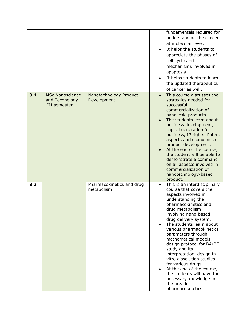|     |                                                                   |                                         | fundamentals required for<br>understanding the cancer<br>at molecular level.<br>It helps the students to<br>$\bullet$<br>appreciate the phases of<br>cell cycle and<br>mechanisms involved in<br>apoptosis.<br>It helps students to learn<br>the updated therapeutics<br>of cancer as well.                                                                                                                                                                                                                                                                               |  |
|-----|-------------------------------------------------------------------|-----------------------------------------|---------------------------------------------------------------------------------------------------------------------------------------------------------------------------------------------------------------------------------------------------------------------------------------------------------------------------------------------------------------------------------------------------------------------------------------------------------------------------------------------------------------------------------------------------------------------------|--|
| 3.1 | <b>MSc Nanoscience</b><br>and Technology -<br><b>III</b> semester | Nanotechnology Product<br>Development   | This course discusses the<br>$\bullet$<br>strategies needed for<br>successful<br>commercialization of<br>nanoscale products.<br>The students learn about<br>$\bullet$<br>business development,<br>capital generation for<br>business, IP rights, Patent<br>aspects and economics of<br>product development.<br>At the end of the course,<br>the student will be able to<br>demonstrate a command<br>on all aspects involved in<br>commercialization of<br>nanotechnology-based<br>product.                                                                                |  |
| 3.2 |                                                                   | Pharmacokinetics and drug<br>metabolism | This is an interdisciplinary<br>$\bullet$<br>course that covers the<br>aspects involved in<br>understanding the<br>pharmacokinetics and<br>drug metabolism<br>involving nano-based<br>drug delivery system.<br>The students learn about<br>various pharmacokinetics<br>parameters through<br>mathematical models,<br>design protocol for BA/BE<br>study and its<br>interpretation, design in-<br>vitro dissolution studies<br>for various drugs.<br>At the end of the course,<br>the students will have the<br>necessary knowledge in<br>the area in<br>pharmacokinetics. |  |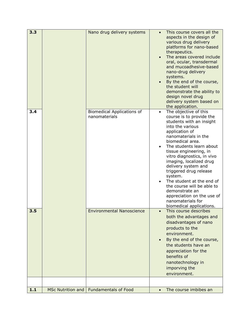| 3.3   |                   | Nano drug delivery systems                  |           | This course covers all the<br>aspects in the design of<br>various drug delivery<br>platforms for nano-based<br>therapeutics.<br>The areas covered include<br>oral, ocular, transdermal<br>and mucoadhesive-based<br>nano-drug delivery<br>systems.<br>By the end of the course,<br>the student will<br>demonstrate the ability to<br>design novel drug<br>delivery system based on<br>the application.                                                                                                 |
|-------|-------------------|---------------------------------------------|-----------|--------------------------------------------------------------------------------------------------------------------------------------------------------------------------------------------------------------------------------------------------------------------------------------------------------------------------------------------------------------------------------------------------------------------------------------------------------------------------------------------------------|
| 3.4   |                   | Biomedical Applications of<br>nanomaterials |           | The objective of this<br>course is to provide the<br>students with an insight<br>into the various<br>application of<br>nanomaterials in the<br>biomedical area.<br>The students learn about<br>tissue engineering, in<br>vitro diagnostics, in vivo<br>imaging, localized drug<br>delivery system and<br>triggered drug release<br>system.<br>The student at the end of<br>the course will be able to<br>demonstrate an<br>appreciation on the use of<br>nanomaterials for<br>biomedical applications. |
| 3.5   |                   | Environmental Nanoscience                   |           | This course describes<br>both the advantages and<br>disadvantages of nano<br>products to the<br>environment.<br>By the end of the course,<br>the students have an<br>appreciation for the<br>benefits of<br>nanotechnology in<br>imporving the<br>environment.                                                                                                                                                                                                                                         |
| $1.1$ | MSc Nutrition and | <b>Fundamentals of Food</b>                 | $\bullet$ | The course imbibes an                                                                                                                                                                                                                                                                                                                                                                                                                                                                                  |
|       |                   |                                             |           |                                                                                                                                                                                                                                                                                                                                                                                                                                                                                                        |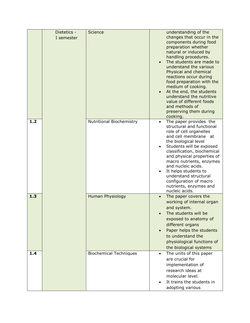|     | Dietetics -<br>I semester | Science                       | understanding of the<br>changes that occur in the<br>components during food<br>preparation whether<br>natural or induced by<br>handling procedures.<br>The students are made to<br>understand the various<br>Physical and chemical<br>reactions occur during<br>food preparation with the<br>medium of cooking.<br>At the end, the students<br>understand the nutritive<br>value of different foods<br>and methods of<br>preserving them during<br>cooking. |
|-----|---------------------------|-------------------------------|-------------------------------------------------------------------------------------------------------------------------------------------------------------------------------------------------------------------------------------------------------------------------------------------------------------------------------------------------------------------------------------------------------------------------------------------------------------|
| 1.2 |                           | Nutritional Biochemistry      | The paper provides the<br>structural and functional<br>role of cell organelles<br>and cell membrane at<br>the biological level<br>Students will be exposed<br>classification, biochemical<br>and physical properties of<br>macro nutrients, enzymes<br>and nucleic acids.<br>It helps students to<br>understand structural<br>configuration of macro<br>nutrients, enzymes and<br>nucleic acids.                                                            |
| 1.3 |                           | <b>Human Physiology</b>       | The paper covers the<br>$\bullet$<br>working of internal organ<br>and system.<br>The students will be<br>exposed to anatomy of<br>different organs<br>Paper helps the students<br>to understand the<br>physiological functions of<br>the biological systems                                                                                                                                                                                                 |
| 1.4 |                           | <b>Biochemical Techniques</b> | The units of this paper<br>$\bullet$<br>are crucial for<br>implementation of<br>research ideas at<br>molecular level.<br>It trains the students in<br>adopting various                                                                                                                                                                                                                                                                                      |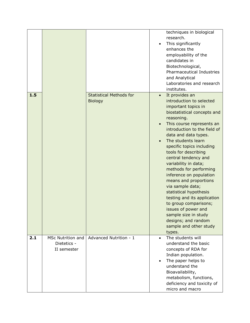|     |                   |                                |           | techniques in biological<br>research.             |
|-----|-------------------|--------------------------------|-----------|---------------------------------------------------|
|     |                   |                                |           | This significantly<br>enhances the                |
|     |                   |                                |           | employability of the                              |
|     |                   |                                |           | candidates in                                     |
|     |                   |                                |           | Biotechnological,                                 |
|     |                   |                                |           | <b>Pharmaceutical Industries</b>                  |
|     |                   |                                |           | and Analytical                                    |
|     |                   |                                |           | Laboratories and research                         |
|     |                   |                                |           | institutes.                                       |
| 1.5 |                   | <b>Statistical Methods for</b> | $\bullet$ | It provides an                                    |
|     |                   | <b>Biology</b>                 |           | introduction to selected                          |
|     |                   |                                |           | important topics in                               |
|     |                   |                                |           | biostatistical concepts and                       |
|     |                   |                                |           | reasoning.                                        |
|     |                   |                                |           | This course represents an                         |
|     |                   |                                |           | introduction to the field of                      |
|     |                   |                                |           | data and data types.                              |
|     |                   |                                |           | The students learn                                |
|     |                   |                                |           | specific topics including                         |
|     |                   |                                |           | tools for describing                              |
|     |                   |                                |           | central tendency and                              |
|     |                   |                                |           | variability in data;                              |
|     |                   |                                |           | methods for performing<br>inference on population |
|     |                   |                                |           | means and proportions                             |
|     |                   |                                |           | via sample data;                                  |
|     |                   |                                |           | statistical hypothesis                            |
|     |                   |                                |           | testing and its application                       |
|     |                   |                                |           | to group comparisons;                             |
|     |                   |                                |           | issues of power and                               |
|     |                   |                                |           | sample size in study                              |
|     |                   |                                |           | designs; and random                               |
|     |                   |                                |           | sample and other study                            |
|     |                   |                                |           | types.                                            |
| 2.1 | MSc Nutrition and | Advanced Nutrition - 1         |           | The students will                                 |
|     | Dietetics -       |                                |           | understand the basic                              |
|     | II semester       |                                |           | concepts of RDA for                               |
|     |                   |                                |           | Indian population.                                |
|     |                   |                                |           | The paper helps to<br>understand the              |
|     |                   |                                |           | Bioavailability,                                  |
|     |                   |                                |           | metabolism, functions,                            |
|     |                   |                                |           | deficiency and toxicity of                        |
|     |                   |                                |           | micro and macro                                   |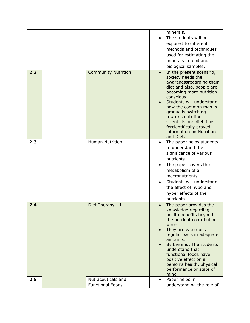| 2.2 | <b>Community Nutrition</b>                    | $\bullet$<br>$\bullet$ | minerals.<br>The students will be<br>exposed to different<br>methods and techniques<br>used for estimating the<br>minerals in food and<br>biological samples.<br>In the present scenario,<br>society needs the<br>awarenessregarding their<br>diet and also, people are<br>becoming more nutrition<br>conscious.<br>Students will understand<br>how the common man is<br>gradually switching<br>towards nutrition<br>scientists and dietitians<br>forcientifically proved<br>information on Nutrition<br>and Diet. |
|-----|-----------------------------------------------|------------------------|--------------------------------------------------------------------------------------------------------------------------------------------------------------------------------------------------------------------------------------------------------------------------------------------------------------------------------------------------------------------------------------------------------------------------------------------------------------------------------------------------------------------|
| 2.3 | <b>Human Nutrition</b>                        | $\bullet$<br>$\bullet$ | The paper helps students<br>to understand the<br>significance of various<br>nutrients<br>The paper covers the<br>metabolism of all<br>macronutrients<br>Students will understand<br>the effect of hypo and<br>hyper effects of the<br>nutrients                                                                                                                                                                                                                                                                    |
| 2.4 | Diet Therapy - 1                              | $\bullet$<br>$\bullet$ | The paper provides the<br>knowledge regarding<br>health benefits beyond<br>the nutrient contribution<br>when<br>They are eaten on a<br>regular basis in adequate<br>amounts.<br>By the end, The students<br>understand that<br>functional foods have<br>positive effect on a<br>person's health, physical<br>performance or state of<br>mind                                                                                                                                                                       |
| 2.5 | Nutraceuticals and<br><b>Functional Foods</b> | $\bullet$              | Paper helps in<br>understanding the role of                                                                                                                                                                                                                                                                                                                                                                                                                                                                        |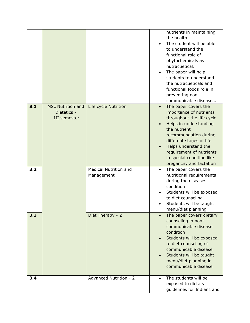|     |                                                         |                                     | nutrients in maintaining<br>the health.<br>The student will be able<br>to understand the<br>functional role of<br>phytochemicals as<br>nutracuetical.<br>The paper will help<br>students to understand<br>the nutracueticals and<br>functional foods role in<br>preventing non<br>communicable diseases. |  |
|-----|---------------------------------------------------------|-------------------------------------|----------------------------------------------------------------------------------------------------------------------------------------------------------------------------------------------------------------------------------------------------------------------------------------------------------|--|
| 3.1 | <b>MSc Nutrition and</b><br>Dietetics -<br>III semester | Life cycle Nutrition                | The paper covers the<br>importance of nutrients<br>throughout the life cycle<br>Helps in understanding<br>the nutrient<br>recommendation during<br>different stages of life<br>Helps understand the<br>requirement of nutrients<br>in special condition like<br>pregancny and lactation                  |  |
| 3.2 |                                                         | Medical Nutrition and<br>Management | The paper covers the<br>$\bullet$<br>nutritional requirements<br>during the diseases<br>condition<br>Students will be exposed<br>to diet counseling<br>Students will be taught<br>menu/diet planning                                                                                                     |  |
| 3.3 |                                                         | Diet Therapy - 2                    | The paper covers dietary<br>counseling in non-<br>communicable disease<br>condition<br>Students will be exposed<br>to diet counseling of<br>communicable disease<br>Students will be taught<br>menu/diet planning in<br>communicable disease                                                             |  |
| 3.4 |                                                         | Advanced Nutrition - 2              | The students will be<br>exposed to dietary<br>guidelines for Indians and                                                                                                                                                                                                                                 |  |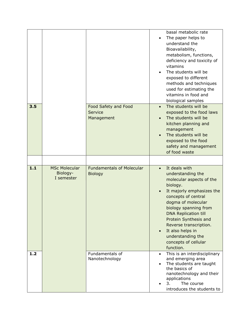|     |                                                |                                                    | basal metabolic rate<br>The paper helps to<br>understand the<br>Bioavailability,<br>metabolism, functions,<br>deficiency and toxicity of<br>vitamins<br>The students will be<br>exposed to different<br>methods and techniques<br>used for estimating the<br>vitamins in food and<br>biological samples                                                    |
|-----|------------------------------------------------|----------------------------------------------------|------------------------------------------------------------------------------------------------------------------------------------------------------------------------------------------------------------------------------------------------------------------------------------------------------------------------------------------------------------|
| 3.5 |                                                | Food Safety and Food<br>Service<br>Management      | The students will be<br>exposed to the food laws<br>The students will be<br>kitchen planning and<br>management<br>The students will be<br>exposed to the food<br>safety and management<br>of food waste                                                                                                                                                    |
|     |                                                |                                                    |                                                                                                                                                                                                                                                                                                                                                            |
| 1.1 | <b>MSc Molecular</b><br>Biology-<br>I semester | <b>Fundamentals of Molecular</b><br><b>Biology</b> | It deals with<br>understanding the<br>molecular aspects of the<br>biology.<br>It majorly emphasizes the<br>concepts of central<br>dogma of molecular<br>biology spanning from<br><b>DNA Replication till</b><br>Protein Synthesis and<br>Reverse transcription.<br>It also helps in<br>$\bullet$<br>understanding the<br>concepts of cellular<br>function. |
| 1.2 |                                                | Fundamentals of<br>Nanotechnology                  | This is an interdisciplinary<br>and emerging area<br>The students are taught<br>the basics of<br>nanotechnology and their<br>applications<br>The course<br>3.<br>introduces the students to                                                                                                                                                                |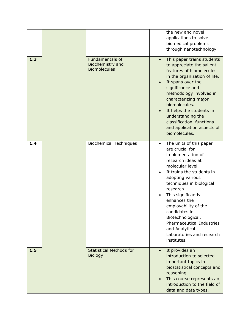|            |  |                                                                          |                        | the new and novel<br>applications to solve<br>biomedical problems<br>through nanotechnology                                                                                                                                                                                                                                                                                                       |
|------------|--|--------------------------------------------------------------------------|------------------------|---------------------------------------------------------------------------------------------------------------------------------------------------------------------------------------------------------------------------------------------------------------------------------------------------------------------------------------------------------------------------------------------------|
| 1.3<br>1.4 |  | <b>Fundamentals of</b><br><b>Biochemistry and</b><br><b>Biomolecules</b> | $\bullet$<br>$\bullet$ | This paper trains students<br>to appreciate the salient<br>features of biomolecules<br>in the organization of life.<br>It spans over the<br>significance and<br>methodology involved in<br>characterizing major<br>biomolecules.<br>It helps the students in<br>understanding the<br>classification, functions<br>and application aspects of<br>biomolecules.                                     |
|            |  | <b>Biochemical Techniques</b>                                            | $\bullet$              | The units of this paper<br>are crucial for<br>implementation of<br>research ideas at<br>molecular level.<br>It trains the students in<br>adopting various<br>techniques in biological<br>research.<br>This significantly<br>enhances the<br>employability of the<br>candidates in<br>Biotechnological,<br>Pharmaceutical Industries<br>and Analytical<br>Laboratories and research<br>institutes. |
| 1.5        |  | <b>Statistical Methods for</b><br><b>Biology</b>                         | $\bullet$<br>$\bullet$ | It provides an<br>introduction to selected<br>important topics in<br>biostatistical concepts and<br>reasoning.<br>This course represents an<br>introduction to the field of<br>data and data types.                                                                                                                                                                                               |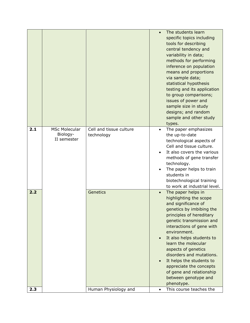|     |                                                 |                                       |           | The students learn<br>specific topics including<br>tools for describing<br>central tendency and<br>variability in data;<br>methods for performing<br>inference on population<br>means and proportions<br>via sample data;<br>statistical hypothesis<br>testing and its application<br>to group comparisons;<br>issues of power and<br>sample size in study<br>designs; and random<br>sample and other study<br>types.                |
|-----|-------------------------------------------------|---------------------------------------|-----------|--------------------------------------------------------------------------------------------------------------------------------------------------------------------------------------------------------------------------------------------------------------------------------------------------------------------------------------------------------------------------------------------------------------------------------------|
| 2.1 | <b>MSc Molecular</b><br>Biology-<br>II semester | Cell and tissue culture<br>technology |           | The paper emphasizes<br>the up-to-date<br>technological aspects of<br>Cell and tissue culture.<br>It also covers the various<br>methods of gene transfer<br>technology.<br>The paper helps to train<br>students in<br>biotechnological training<br>to work at industrial level.                                                                                                                                                      |
| 2.2 |                                                 | Genetics                              | $\bullet$ | The paper helps in<br>highlighting the scope<br>and significance of<br>genetics by imbibing the<br>principles of hereditary<br>genetic transmission and<br>interactions of gene with<br>environment.<br>It also helps students to<br>learn the molecular<br>aspects of genetics<br>disorders and mutations.<br>It helps the students to<br>appreciate the concepts<br>of gene and relationship<br>between genotype and<br>phenotype. |
| 2.3 |                                                 | Human Physiology and                  |           | This course teaches the                                                                                                                                                                                                                                                                                                                                                                                                              |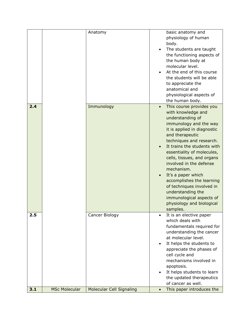|     |                      | Anatomy                  |                        | basic anatomy and<br>physiology of human<br>body.<br>The students are taught<br>the functioning aspects of<br>the human body at<br>molecular level.<br>At the end of this course<br>the students will be able<br>to appreciate the<br>anatomical and<br>physiological aspects of<br>the human body.                                                                                                                                                                                      |
|-----|----------------------|--------------------------|------------------------|------------------------------------------------------------------------------------------------------------------------------------------------------------------------------------------------------------------------------------------------------------------------------------------------------------------------------------------------------------------------------------------------------------------------------------------------------------------------------------------|
| 2.4 |                      | Immunology               |                        | This course provides you<br>with knowledge and<br>understanding of<br>immunology and the way<br>it is applied in diagnostic<br>and therapeutic<br>techniques and research.<br>It trains the students with<br>essentiality of molecules,<br>cells, tissues, and organs<br>involved in the defense<br>mechanism.<br>It's a paper which<br>accomplishes the learning<br>of techniques involved in<br>understanding the<br>immunological aspects of<br>physiology and biological<br>samples. |
| 2.5 |                      | Cancer Biology           | $\bullet$<br>$\bullet$ | It is an elective paper<br>which deals with<br>fundamentals required for<br>understanding the cancer<br>at molecular level.<br>It helps the students to<br>appreciate the phases of<br>cell cycle and<br>mechanisms involved in<br>apoptosis.<br>It helps students to learn<br>the updated therapeutics<br>of cancer as well.                                                                                                                                                            |
| 3.1 | <b>MSc Molecular</b> | Molecular Cell Signaling | $\bullet$              | This paper introduces the                                                                                                                                                                                                                                                                                                                                                                                                                                                                |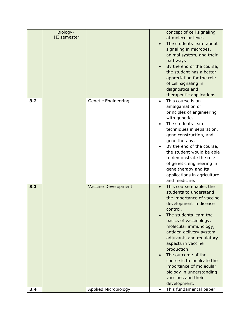|     | Biology-<br><b>III</b> semester |                             |           | concept of cell signaling<br>at molecular level.<br>The students learn about<br>signaling in microbes,<br>animal system, and their<br>pathways<br>By the end of the course,<br>the student has a better<br>appreciation for the role<br>of cell signaling in<br>diagnostics and<br>therapeutic applications.                                                                                                                                    |
|-----|---------------------------------|-----------------------------|-----------|-------------------------------------------------------------------------------------------------------------------------------------------------------------------------------------------------------------------------------------------------------------------------------------------------------------------------------------------------------------------------------------------------------------------------------------------------|
| 3.2 |                                 | <b>Genetic Engineering</b>  | $\bullet$ | This course is an<br>amalgamation of<br>principles of engineering<br>with genetics.<br>The students learn<br>techniques in separation,<br>gene construction, and<br>gene therapy.<br>By the end of the course,<br>the student would be able<br>to demonstrate the role<br>of genetic engineering in<br>gene therapy and its<br>applications in agriculture<br>and medicine.                                                                     |
| 3.3 |                                 | <b>Vaccine Development</b>  |           | This course enables the<br>students to understand<br>the importance of vaccine<br>development in disease<br>control.<br>The students learn the<br>basics of vaccinology,<br>molecular immunology,<br>antigen delivery system,<br>adjuvants and regulatory<br>aspects in vaccine<br>production.<br>The outcome of the<br>course is to inculcate the<br>importance of molecular<br>biology in understanding<br>vaccines and their<br>development. |
| 3.4 |                                 | <b>Applied Microbiology</b> | $\bullet$ | This fundamental paper                                                                                                                                                                                                                                                                                                                                                                                                                          |